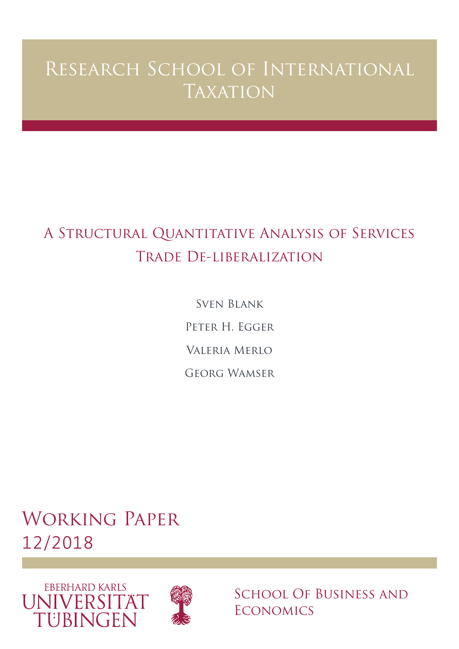# Research School of International **TAXATION**

# A Structural Quantitative Analysis of Services Trade De-liberalization

Sven Blank Peter H. Egger Valeria Merlo Georg Wamser

Working Paper 12/2018





School Of Business and **ECONOMICS**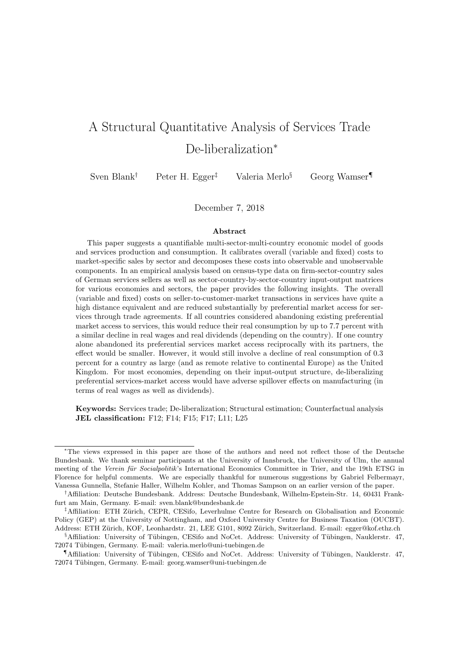## A Structural Quantitative Analysis of Services Trade De-liberalization*<sup>∗</sup>*

Sven Blank*†* Peter H. Egger*‡* Valeria Merlo*§* Georg Wamser*¶*

December 7, 2018

#### **Abstract**

This paper suggests a quantifiable multi-sector-multi-country economic model of goods and services production and consumption. It calibrates overall (variable and fixed) costs to market-specific sales by sector and decomposes these costs into observable and unobservable components. In an empirical analysis based on census-type data on firm-sector-country sales of German services sellers as well as sector-country-by-sector-country input-output matrices for various economies and sectors, the paper provides the following insights. The overall (variable and fixed) costs on seller-to-customer-market transactions in services have quite a high distance equivalent and are reduced substantially by preferential market access for services through trade agreements. If all countries considered abandoning existing preferential market access to services, this would reduce their real consumption by up to 7.7 percent with a similar decline in real wages and real dividends (depending on the country). If one country alone abandoned its preferential services market access reciprocally with its partners, the effect would be smaller. However, it would still involve a decline of real consumption of 0.3 percent for a country as large (and as remote relative to continental Europe) as the United Kingdom. For most economies, depending on their input-output structure, de-liberalizing preferential services-market access would have adverse spillover effects on manufacturing (in terms of real wages as well as dividends).

**Keywords:** Services trade; De-liberalization; Structural estimation; Counterfactual analysis **JEL classification:** F12; F14; F15; F17; L11; L25

*<sup>∗</sup>*The views expressed in this paper are those of the authors and need not reflect those of the Deutsche Bundesbank. We thank seminar participants at the University of Innsbruck, the University of Ulm, the annual meeting of the *Verein für Socialpolitik'*s International Economics Committee in Trier, and the 19th ETSG in Florence for helpful comments. We are especially thankful for numerous suggestions by Gabriel Felbermayr, Vanessa Gunnella, Stefanie Haller, Wilhelm Kohler, and Thomas Sampson on an earlier version of the paper.

*<sup>†</sup>*Affiliation: Deutsche Bundesbank. Address: Deutsche Bundesbank, Wilhelm-Epstein-Str. 14, 60431 Frankfurt am Main, Germany. E-mail: sven.blank@bundesbank.de

<sup>&</sup>lt;sup>‡</sup>Affiliation: ETH Zürich, CEPR, CESifo, Leverhulme Centre for Research on Globalisation and Economic Policy (GEP) at the University of Nottingham, and Oxford University Centre for Business Taxation (OUCBT). Address: ETH Zürich, KOF, Leonhardstr. 21, LEE G101, 8092 Zürich, Switzerland. E-mail: egger@kof.ethz.ch

<sup>§</sup>Affiliation: University of Tübingen, CESifo and NoCet. Address: University of Tübingen, Nauklerstr. 47, 72074 Tübingen, Germany. E-mail: valeria.merlo@uni-tuebingen.de

*<sup>¶</sup>Affiliation: University of Tübingen, CESifo and NoCet. Address: University of Tübingen, Nauklerstr. 47,* 72074 Tübingen, Germany. E-mail: georg.wamser@uni-tuebingen.de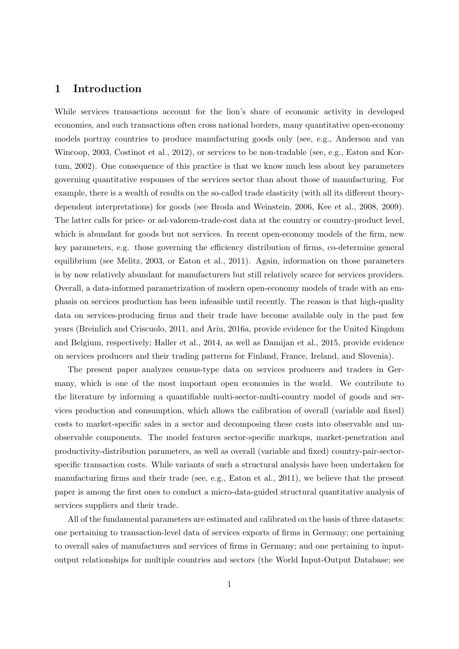### **1 Introduction**

While services transactions account for the lion's share of economic activity in developed economies, and such transactions often cross national borders, many quantitative open-economy models portray countries to produce manufacturing goods only (see, e.g., Anderson and van Wincoop, 2003, Costinot et al., 2012), or services to be non-tradable (see, e.g., Eaton and Kortum, 2002). One consequence of this practice is that we know much less about key parameters governing quantitative responses of the services sector than about those of manufacturing. For example, there is a wealth of results on the so-called trade elasticity (with all its different theorydependent interpretations) for goods (see Broda and Weinstein, 2006, Kee et al., 2008, 2009). The latter calls for price- or ad-valorem-trade-cost data at the country or country-product level, which is abundant for goods but not services. In recent open-economy models of the firm, new key parameters, e.g. those governing the efficiency distribution of firms, co-determine general equilibrium (see Melitz, 2003, or Eaton et al., 2011). Again, information on those parameters is by now relatively abundant for manufacturers but still relatively scarce for services providers. Overall, a data-informed parametrization of modern open-economy models of trade with an emphasis on services production has been infeasible until recently. The reason is that high-quality data on services-producing firms and their trade have become available only in the past few years (Breinlich and Criscuolo, 2011, and Ariu, 2016a, provide evidence for the United Kingdom and Belgium, respectively; Haller et al., 2014, as well as Damijan et al., 2015, provide evidence on services producers and their trading patterns for Finland, France, Ireland, and Slovenia).

The present paper analyzes census-type data on services producers and traders in Germany, which is one of the most important open economies in the world. We contribute to the literature by informing a quantifiable multi-sector-multi-country model of goods and services production and consumption, which allows the calibration of overall (variable and fixed) costs to market-specific sales in a sector and decomposing these costs into observable and unobservable components. The model features sector-specific markups, market-penetration and productivity-distribution parameters, as well as overall (variable and fixed) country-pair-sectorspecific transaction costs. While variants of such a structural analysis have been undertaken for manufacturing firms and their trade (see, e.g., Eaton et al., 2011), we believe that the present paper is among the first ones to conduct a micro-data-guided structural quantitative analysis of services suppliers and their trade.

All of the fundamental parameters are estimated and calibrated on the basis of three datasets: one pertaining to transaction-level data of services exports of firms in Germany; one pertaining to overall sales of manufactures and services of firms in Germany; and one pertaining to inputoutput relationships for multiple countries and sectors (the World Input-Output Database; see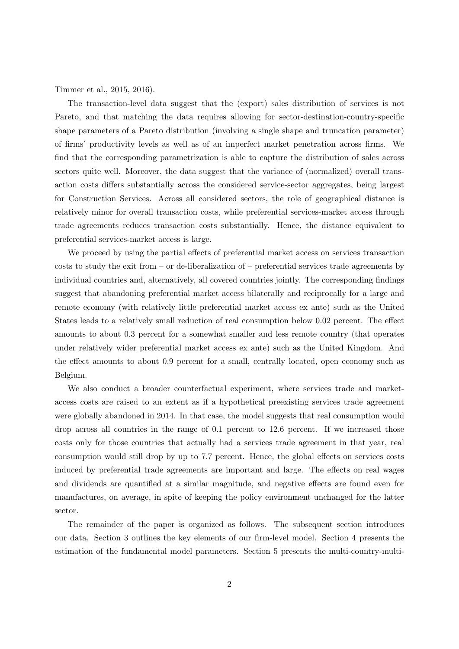Timmer et al., 2015, 2016).

The transaction-level data suggest that the (export) sales distribution of services is not Pareto, and that matching the data requires allowing for sector-destination-country-specific shape parameters of a Pareto distribution (involving a single shape and truncation parameter) of firms' productivity levels as well as of an imperfect market penetration across firms. We find that the corresponding parametrization is able to capture the distribution of sales across sectors quite well. Moreover, the data suggest that the variance of (normalized) overall transaction costs differs substantially across the considered service-sector aggregates, being largest for Construction Services. Across all considered sectors, the role of geographical distance is relatively minor for overall transaction costs, while preferential services-market access through trade agreements reduces transaction costs substantially. Hence, the distance equivalent to preferential services-market access is large.

We proceed by using the partial effects of preferential market access on services transaction costs to study the exit from – or de-liberalization of – preferential services trade agreements by individual countries and, alternatively, all covered countries jointly. The corresponding findings suggest that abandoning preferential market access bilaterally and reciprocally for a large and remote economy (with relatively little preferential market access ex ante) such as the United States leads to a relatively small reduction of real consumption below 0.02 percent. The effect amounts to about 0.3 percent for a somewhat smaller and less remote country (that operates under relatively wider preferential market access ex ante) such as the United Kingdom. And the effect amounts to about 0.9 percent for a small, centrally located, open economy such as Belgium.

We also conduct a broader counterfactual experiment, where services trade and marketaccess costs are raised to an extent as if a hypothetical preexisting services trade agreement were globally abandoned in 2014. In that case, the model suggests that real consumption would drop across all countries in the range of 0.1 percent to 12.6 percent. If we increased those costs only for those countries that actually had a services trade agreement in that year, real consumption would still drop by up to 7.7 percent. Hence, the global effects on services costs induced by preferential trade agreements are important and large. The effects on real wages and dividends are quantified at a similar magnitude, and negative effects are found even for manufactures, on average, in spite of keeping the policy environment unchanged for the latter sector.

The remainder of the paper is organized as follows. The subsequent section introduces our data. Section 3 outlines the key elements of our firm-level model. Section 4 presents the estimation of the fundamental model parameters. Section 5 presents the multi-country-multi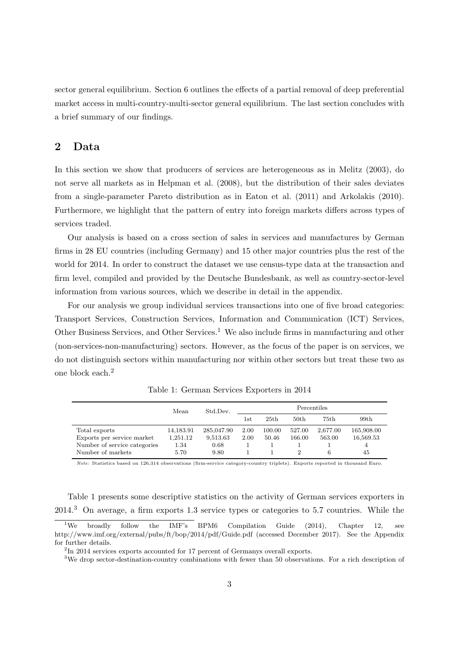sector general equilibrium. Section 6 outlines the effects of a partial removal of deep preferential market access in multi-country-multi-sector general equilibrium. The last section concludes with a brief summary of our findings.

## **2 Data**

In this section we show that producers of services are heterogeneous as in Melitz (2003), do not serve all markets as in Helpman et al. (2008), but the distribution of their sales deviates from a single-parameter Pareto distribution as in Eaton et al. (2011) and Arkolakis (2010). Furthermore, we highlight that the pattern of entry into foreign markets differs across types of services traded.

Our analysis is based on a cross section of sales in services and manufactures by German firms in 28 EU countries (including Germany) and 15 other major countries plus the rest of the world for 2014. In order to construct the dataset we use census-type data at the transaction and firm level, compiled and provided by the Deutsche Bundesbank, as well as country-sector-level information from various sources, which we describe in detail in the appendix.

For our analysis we group individual services transactions into one of five broad categories: Transport Services, Construction Services, Information and Communication (ICT) Services, Other Business Services, and Other Services.<sup>1</sup> We also include firms in manufacturing and other (non-services-non-manufacturing) sectors. However, as the focus of the paper is on services, we do not distinguish sectors within manufacturing nor within other sectors but treat these two as one block each.<sup>2</sup>

|                                                                                                  | Mean                                  | Std.Dev.                               |              |                 | Percentiles      |                         |                               |
|--------------------------------------------------------------------------------------------------|---------------------------------------|----------------------------------------|--------------|-----------------|------------------|-------------------------|-------------------------------|
|                                                                                                  |                                       |                                        | $_{\rm 1st}$ | 25th            | 50th             | 75th                    | 99th                          |
| Total exports<br>Exports per service market<br>Number of service categories<br>Number of markets | 14,183.91<br>1,251.12<br>1.34<br>5.70 | 285,047.90<br>9,513.63<br>0.68<br>9.80 | 2.00<br>2.00 | 100.00<br>50.46 | 527.00<br>166.00 | 2.677.00<br>563.00<br>6 | 165,908.00<br>16,569.53<br>45 |

Table 1: German Services Exporters in 2014

*Note*: Statistics based on 126,314 observations (firm-service category-country triplets). Exports reported in thousand Euro.

Table 1 presents some descriptive statistics on the activity of German services exporters in 2014.<sup>3</sup> On average, a firm exports 1.3 service types or categories to 5.7 countries. While the

<sup>&</sup>lt;sup>1</sup>We broadly follow the IMF's BPM6 Compilation Guide  $(2014)$ , Chapter 12, see http://www.imf.org/external/pubs/ft/bop/2014/pdf/Guide.pdf (accessed December 2017). See the Appendix for further details.

<sup>&</sup>lt;sup>2</sup>In 2014 services exports accounted for 17 percent of Germanys overall exports.

<sup>&</sup>lt;sup>3</sup>We drop sector-destination-country combinations with fewer than 50 observations. For a rich description of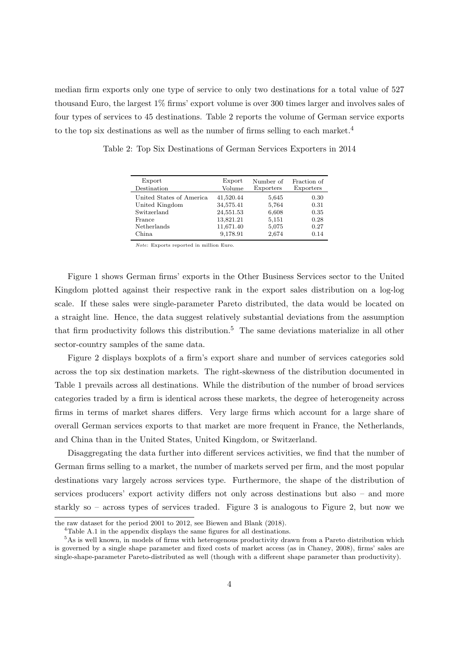median firm exports only one type of service to only two destinations for a total value of 527 thousand Euro, the largest 1% firms' export volume is over 300 times larger and involves sales of four types of services to 45 destinations. Table 2 reports the volume of German service exports to the top six destinations as well as the number of firms selling to each market.<sup>4</sup>

| Export<br>Destination    | Export<br>Volume | Number of<br>Exporters | Fraction of<br>Exporters |
|--------------------------|------------------|------------------------|--------------------------|
| United States of America | 41,520.44        | 5,645                  | 0.30                     |
| United Kingdom           | 34,575.41        | 5,764                  | 0.31                     |
| Switzerland              | 24,551.53        | 6,608                  | 0.35                     |
| France                   | 13,821.21        | 5,151                  | 0.28                     |
| Netherlands              | 11,671.40        | 5,075                  | 0.27                     |
| China.                   | 9,178.91         | 2,674                  | 0.14                     |

Table 2: Top Six Destinations of German Services Exporters in 2014

*Note*: Exports reported in million Euro.

Figure 1 shows German firms' exports in the Other Business Services sector to the United Kingdom plotted against their respective rank in the export sales distribution on a log-log scale. If these sales were single-parameter Pareto distributed, the data would be located on a straight line. Hence, the data suggest relatively substantial deviations from the assumption that firm productivity follows this distribution.<sup>5</sup> The same deviations materialize in all other sector-country samples of the same data.

Figure 2 displays boxplots of a firm's export share and number of services categories sold across the top six destination markets. The right-skewness of the distribution documented in Table 1 prevails across all destinations. While the distribution of the number of broad services categories traded by a firm is identical across these markets, the degree of heterogeneity across firms in terms of market shares differs. Very large firms which account for a large share of overall German services exports to that market are more frequent in France, the Netherlands, and China than in the United States, United Kingdom, or Switzerland.

Disaggregating the data further into different services activities, we find that the number of German firms selling to a market, the number of markets served per firm, and the most popular destinations vary largely across services type. Furthermore, the shape of the distribution of services producers' export activity differs not only across destinations but also – and more starkly so – across types of services traded. Figure 3 is analogous to Figure 2, but now we

the raw dataset for the period 2001 to 2012, see Biewen and Blank (2018).

<sup>4</sup>Table A.1 in the appendix displays the same figures for all destinations.

<sup>5</sup>As is well known, in models of firms with heterogenous productivity drawn from a Pareto distribution which is governed by a single shape parameter and fixed costs of market access (as in Chaney, 2008), firms' sales are single-shape-parameter Pareto-distributed as well (though with a different shape parameter than productivity).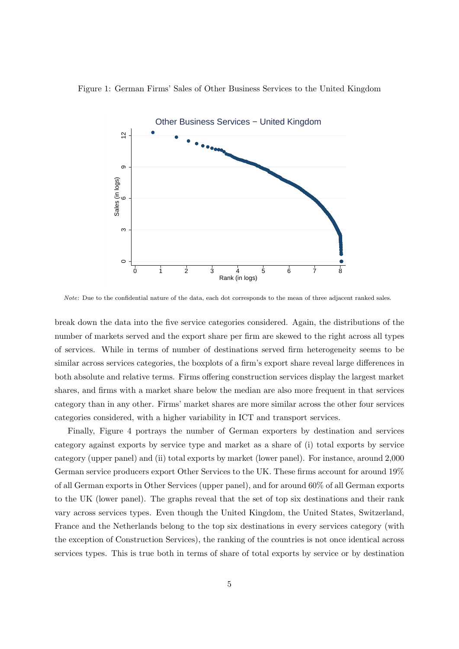



*Note*: Due to the confidential nature of the data, each dot corresponds to the mean of three adjacent ranked sales.

break down the data into the five service categories considered. Again, the distributions of the number of markets served and the export share per firm are skewed to the right across all types of services. While in terms of number of destinations served firm heterogeneity seems to be similar across services categories, the boxplots of a firm's export share reveal large differences in both absolute and relative terms. Firms offering construction services display the largest market shares, and firms with a market share below the median are also more frequent in that services category than in any other. Firms' market shares are more similar across the other four services categories considered, with a higher variability in ICT and transport services.

Finally, Figure 4 portrays the number of German exporters by destination and services category against exports by service type and market as a share of (i) total exports by service category (upper panel) and (ii) total exports by market (lower panel). For instance, around 2,000 German service producers export Other Services to the UK. These firms account for around 19% of all German exports in Other Services (upper panel), and for around 60% of all German exports to the UK (lower panel). The graphs reveal that the set of top six destinations and their rank vary across services types. Even though the United Kingdom, the United States, Switzerland, France and the Netherlands belong to the top six destinations in every services category (with the exception of Construction Services), the ranking of the countries is not once identical across services types. This is true both in terms of share of total exports by service or by destination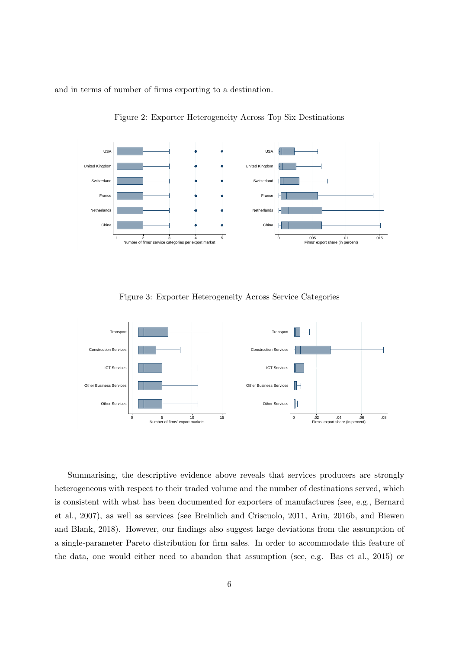and in terms of number of firms exporting to a destination.



Figure 2: Exporter Heterogeneity Across Top Six Destinations

Figure 3: Exporter Heterogeneity Across Service Categories



Summarising, the descriptive evidence above reveals that services producers are strongly heterogeneous with respect to their traded volume and the number of destinations served, which is consistent with what has been documented for exporters of manufactures (see, e.g., Bernard et al., 2007), as well as services (see Breinlich and Criscuolo, 2011, Ariu, 2016b, and Biewen and Blank, 2018). However, our findings also suggest large deviations from the assumption of a single-parameter Pareto distribution for firm sales. In order to accommodate this feature of the data, one would either need to abandon that assumption (see, e.g. Bas et al., 2015) or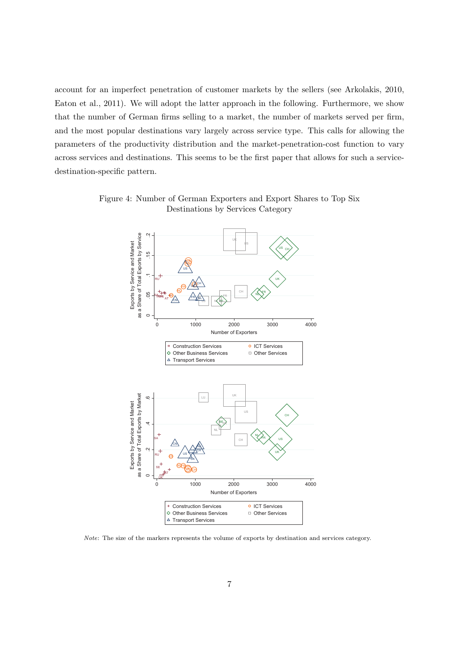account for an imperfect penetration of customer markets by the sellers (see Arkolakis, 2010, Eaton et al., 2011). We will adopt the latter approach in the following. Furthermore, we show that the number of German firms selling to a market, the number of markets served per firm, and the most popular destinations vary largely across service type. This calls for allowing the parameters of the productivity distribution and the market-penetration-cost function to vary across services and destinations. This seems to be the first paper that allows for such a servicedestination-specific pattern.



Figure 4: Number of German Exporters and Export Shares to Top Six Destinations by Services Category

*Note*: The size of the markers represents the volume of exports by destination and services category.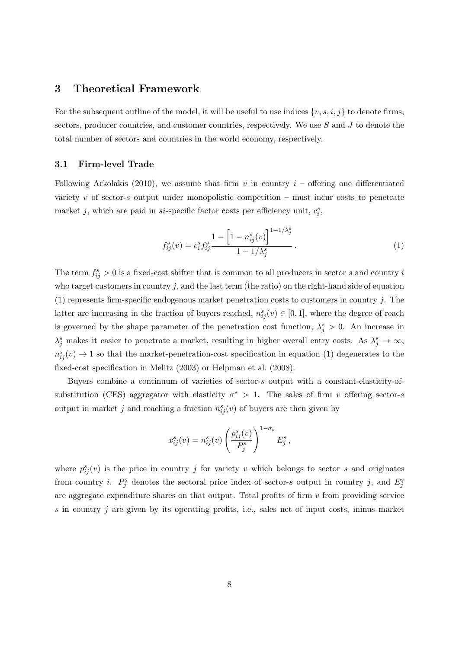## **3 Theoretical Framework**

For the subsequent outline of the model, it will be useful to use indices  $\{v, s, i, j\}$  to denote firms, sectors, producer countries, and customer countries, respectively. We use *S* and *J* to denote the total number of sectors and countries in the world economy, respectively.

#### **3.1 Firm-level Trade**

Following Arkolakis (2010), we assume that firm  $v$  in country  $i$  – offering one differentiated variety *v* of sector-*s* output under monopolistic competition – must incur costs to penetrate market *j*, which are paid in *si*-specific factor costs per efficiency unit,  $c_i^s$ ,

$$
f_{ij}^{s}(v) = c_{i}^{s} f_{ij}^{s} \frac{1 - \left[1 - n_{ij}^{s}(v)\right]^{1 - 1/\lambda_{j}^{s}}}{1 - 1/\lambda_{j}^{s}}.
$$
\n(1)

The term  $f_{ij}^s > 0$  is a fixed-cost shifter that is common to all producers in sector *s* and country *i* who target customers in country  $j$ , and the last term (the ratio) on the right-hand side of equation (1) represents firm-specific endogenous market penetration costs to customers in country *j*. The latter are increasing in the fraction of buyers reached,  $n_{ij}^s(v) \in [0,1]$ , where the degree of reach is governed by the shape parameter of the penetration cost function,  $\lambda_j^s > 0$ . An increase in  $\lambda_j^s$  makes it easier to penetrate a market, resulting in higher overall entry costs. As  $\lambda_j^s \to \infty$ ,  $n_{ij}^s(v) \rightarrow 1$  so that the market-penetration-cost specification in equation (1) degenerates to the fixed-cost specification in Melitz (2003) or Helpman et al. (2008).

Buyers combine a continuum of varieties of sector-*s* output with a constant-elasticity-ofsubstitution (CES) aggregator with elasticity  $\sigma^s > 1$ . The sales of firm *v* offering sector-*s* output in market *j* and reaching a fraction  $n_{ij}^s(v)$  of buyers are then given by

$$
x_{ij}^s(v) = n_{ij}^s(v) \left(\frac{p_{ij}^s(v)}{P_j^s}\right)^{1-\sigma_s} E_j^s,
$$

where  $p_{ij}^s(v)$  is the price in country *j* for variety *v* which belongs to sector *s* and originates from country *i*.  $P_j^s$  denotes the sectoral price index of sector-*s* output in country *j*, and  $E_j^s$ are aggregate expenditure shares on that output. Total profits of firm  $v$  from providing service *s* in country *j* are given by its operating profits, i.e., sales net of input costs, minus market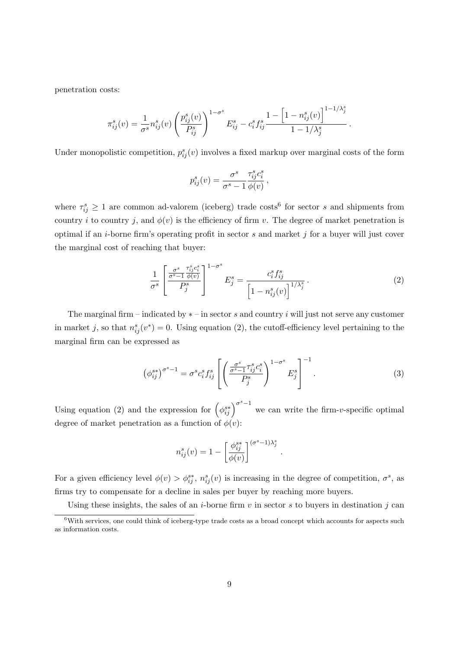penetration costs:

$$
\pi_{ij}^s(v) = \frac{1}{\sigma^s} n_{ij}^s(v) \left( \frac{p_{ij}^s(v)}{P_{ij}^s} \right)^{1-\sigma^s} E_{ij}^s - c_i^s f_{ij}^s \frac{1 - \left[ 1 - n_{ij}^s(v) \right]^{1-1/\lambda_j^s}}{1-1/\lambda_j^s} \, .
$$

Under monopolistic competition,  $p_{ij}^s(v)$  involves a fixed markup over marginal costs of the form

$$
p_{ij}^s(v) = \frac{\sigma^s}{\sigma^s - 1} \frac{\tau_{ij}^s c_i^s}{\phi(v)},
$$

where  $\tau_{ij}^s \geq 1$  are common ad-valorem (iceberg) trade costs<sup>6</sup> for sector *s* and shipments from country *i* to country *j*, and  $\phi(v)$  is the efficiency of firm *v*. The degree of market penetration is optimal if an *i*-borne firm's operating profit in sector *s* and market *j* for a buyer will just cover the marginal cost of reaching that buyer:

$$
\frac{1}{\sigma^s} \left[ \frac{\frac{\sigma^s}{\sigma^s - 1} \frac{\tau_{ij}^s c_i^s}{\phi(v)}}{P_j^s} \right]^{1 - \sigma^s} E_j^s = \frac{c_i^s f_{ij}^s}{\left[ 1 - n_{ij}^s(v) \right]^{1/\lambda_j^s}}.
$$
\n(2)

The marginal firm – indicated by *∗* – in sector *s* and country *i* will just not serve any customer in market *j*, so that  $n_{ij}^s(v^*) = 0$ . Using equation (2), the cutoff-efficiency level pertaining to the marginal firm can be expressed as

$$
\left(\phi_{ij}^{s*}\right)^{\sigma^s-1} = \sigma^s c_i^s f_{ij}^s \left[ \left(\frac{\frac{\sigma^s}{\sigma^s-1} \tau_{ij}^s c_i^s}{P_j^s}\right)^{1-\sigma^s} E_j^s \right]^{-1}.
$$
\n(3)

*.*

Using equation (2) and the expression for  $(\phi_{ij}^{s*})^{\sigma^s-1}$  we can write the firm-*v*-specific optimal degree of market penetration as a function of  $\phi(v)$ :

$$
n_{ij}^s(v) = 1 - \left[\frac{\phi_{ij}^{s*}}{\phi(v)}\right]^{(\sigma^s - 1)\lambda_j^s}
$$

For a given efficiency level  $\phi(v) > \phi_{ij}^{s*}$ ,  $n_{ij}^s(v)$  is increasing in the degree of competition,  $\sigma^s$ , as firms try to compensate for a decline in sales per buyer by reaching more buyers.

Using these insights, the sales of an *i*-borne firm  $v$  in sector  $s$  to buyers in destination  $j$  can

 $6$ With services, one could think of iceberg-type trade costs as a broad concept which accounts for aspects such as information costs.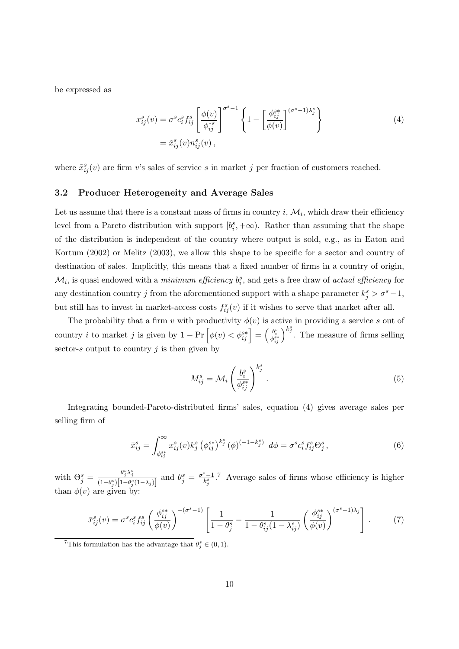be expressed as

$$
x_{ij}^s(v) = \sigma^s c_i^s f_{ij}^s \left[ \frac{\phi(v)}{\phi_{ij}^{*s}} \right]^{\sigma^s - 1} \left\{ 1 - \left[ \frac{\phi_{ij}^{s*}}{\phi(v)} \right]^{\sigma^s - 1} \right\}
$$
  

$$
= \tilde{x}_{ij}^s(v) n_{ij}^s(v) , \qquad (4)
$$

where  $\tilde{x}_{ij}^s(v)$  are firm *v*'s sales of service *s* in market *j* per fraction of customers reached.

#### **3.2 Producer Heterogeneity and Average Sales**

Let us assume that there is a constant mass of firms in country  $i, \mathcal{M}_i$ , which draw their efficiency level from a Pareto distribution with support  $[b_i^s, +\infty)$ . Rather than assuming that the shape of the distribution is independent of the country where output is sold, e.g., as in Eaton and Kortum (2002) or Melitz (2003), we allow this shape to be specific for a sector and country of destination of sales. Implicitly, this means that a fixed number of firms in a country of origin,  $\mathcal{M}_i$ , is quasi endowed with a *minimum efficiency*  $b_i^s$ , and gets a free draw of *actual efficiency* for any destination country *j* from the aforementioned support with a shape parameter  $k_j^s > \sigma^s - 1$ , but still has to invest in market-access costs  $f_{ij}^s(v)$  if it wishes to serve that market after all.

The probability that a firm *v* with productivity  $\phi(v)$  is active in providing a service *s* out of country *i* to market *j* is given by  $1 - \Pr\left[\phi(v) < \phi_{ij}^{s*}\right] = \left(\frac{b_i^s}{\phi_{ij}^{s*}}\right)^{k_j^s}$ . The measure of firms selling sector-*s* output to country *j* is then given by

$$
M_{ij}^s = \mathcal{M}_i \left( \frac{b_i^s}{\phi_{ij}^{s*}} \right)^{k_j^s} . \tag{5}
$$

Integrating bounded-Pareto-distributed firms' sales, equation (4) gives average sales per selling firm of

$$
\bar{x}_{ij}^s = \int_{\phi_{ij}^{s*}}^{\infty} x_{ij}^s(v) k_j^s \left(\phi_{ij}^{s*}\right)^{k_j^s} \left(\phi\right)^{(-1-k_j^s)} d\phi = \sigma^s c_i^s f_{ij}^s \Theta_j^s, \tag{6}
$$

with  $\Theta_j^s = \frac{\theta_j^s \lambda_j^s}{(1-\theta_j^s)[1-\theta_j^s]}$  $\frac{\theta_j^s \lambda_j^s}{(1-\theta_j^s)[1-\theta_j^s(1-\lambda_j)]}$  and  $\theta_j^s = \frac{\sigma^s-1}{k_j^s}$ .<sup>7</sup> Average sales of firms whose efficiency is higher than  $\phi(v)$  are given by

$$
\bar{x}_{ij}^s(v) = \sigma^s c_i^s f_{ij}^s \left(\frac{\phi_{ij}^{s*}}{\phi(v)}\right)^{-(\sigma^s - 1)} \left[\frac{1}{1 - \theta_j^s} - \frac{1}{1 - \theta_{ij}^s (1 - \lambda_{ij}^s)} \left(\frac{\phi_{ij}^{s*}}{\phi(v)}\right)^{(\sigma^s - 1)\lambda_j}\right].
$$
\n(7)

<sup>&</sup>lt;sup>7</sup>This formulation has the advantage that  $\theta_j^s \in (0,1)$ .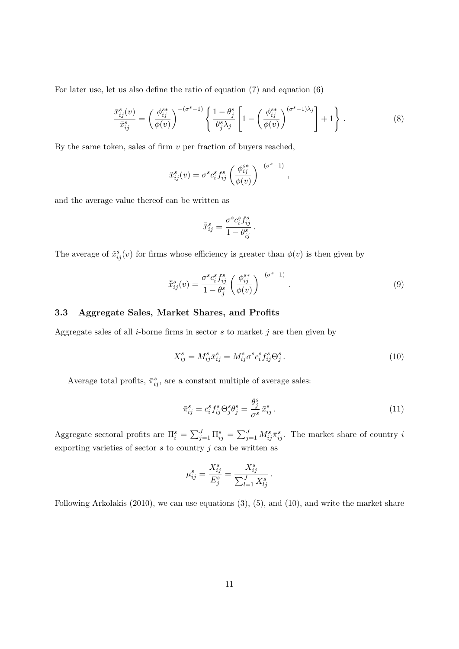For later use, let us also define the ratio of equation (7) and equation (6)

$$
\frac{\bar{x}_{ij}^s(v)}{\bar{x}_{ij}^s} = \left(\frac{\phi_{ij}^{s*}}{\phi(v)}\right)^{-(\sigma^s - 1)} \left\{ \frac{1 - \theta_j^s}{\theta_j^s \lambda_j} \left[ 1 - \left(\frac{\phi_{ij}^{s*}}{\phi(v)}\right)^{(\sigma^s - 1)\lambda_j} \right] + 1 \right\}.
$$
\n(8)

By the same token, sales of firm *v* per fraction of buyers reached,

$$
\tilde{x}_{ij}^s(v) = \sigma^s c_i^s f_{ij}^s \left(\frac{\phi_{ij}^{s*}}{\phi(v)}\right)^{-(\sigma^s - 1)}
$$

and the average value thereof can be written as

$$
\bar{\tilde{x}}_{ij}^s = \frac{\sigma^s c_i^s f_{ij}^s}{1 - \theta_{ij}^s}.
$$

The average of  $\tilde{x}_{ij}^s(v)$  for firms whose efficiency is greater than  $\phi(v)$  is then given by

$$
\bar{\tilde{x}}_{ij}^s(v) = \frac{\sigma^s c_i^s f_{ij}^s}{1 - \theta_j^s} \left(\frac{\phi_{ij}^{s*}}{\phi(v)}\right)^{-(\sigma^s - 1)}.
$$
\n(9)

*,*

#### **3.3 Aggregate Sales, Market Shares, and Profits**

Aggregate sales of all *i*-borne firms in sector *s* to market *j* are then given by

$$
X_{ij}^s = M_{ij}^s \bar{x}_{ij}^s = M_{ij}^s \sigma^s c_i^s f_{ij}^s \Theta_j^s. \tag{10}
$$

Average total profits,  $\bar{\pi}_{ij}^s$ , are a constant multiple of average sales:

$$
\bar{\pi}_{ij}^s = c_i^s f_{ij}^s \Theta_j^s \Theta_j^s = \frac{\theta_j^s}{\sigma^s} \bar{x}_{ij}^s . \tag{11}
$$

Aggregate sectoral profits are  $\Pi_i^s = \sum_{j=1}^J \Pi_{ij}^s = \sum_{j=1}^J M_{ij}^s \bar{\pi}_{ij}^s$ . The market share of country *i* exporting varieties of sector  $s$  to country  $j$  can be written as

$$
\mu_{ij}^s = \frac{X_{ij}^s}{E_j^s} = \frac{X_{ij}^s}{\sum_{l=1}^J X_{lj}^s}.
$$

Following Arkolakis (2010), we can use equations (3), (5), and (10), and write the market share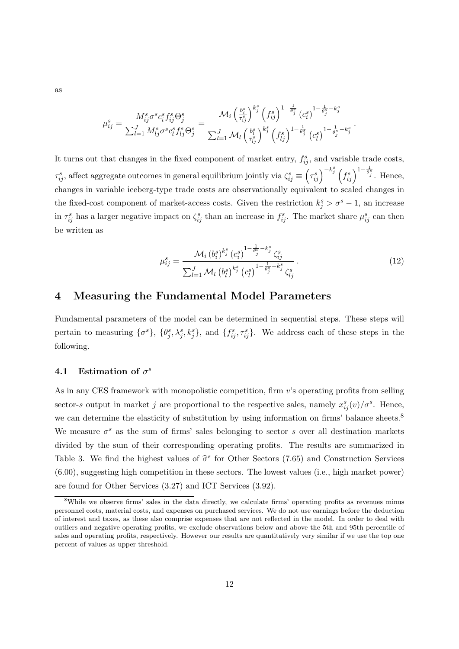as

$$
\mu_{ij}^s = \frac{M_{ij}^s \sigma^s c_i^s f_{ij}^s \Theta_j^s}{\sum_{l=1}^J M_{lj}^s \sigma^s c_l^s f_{lj}^s \Theta_j^s} = \frac{\mathcal{M}_i \left( \frac{b_i^s}{\tau_{ij}^s} \right)^{k_j^s} \left( f_{ij}^s \right)^{1 - \frac{1}{\theta_j^s}} \left( c_i^s \right)^{1 - \frac{1}{\theta_j^s} - k_j^s} \left( c_i^s \right)^{1 - \frac{1}{\theta_j^s} - k_j^s}.
$$

It turns out that changes in the fixed component of market entry,  $f_{ij}^s$ , and variable trade costs,  $\tau_{ij}^s$ , affect aggregate outcomes in general equilibrium jointly via  $\zeta_{ij}^s \equiv \left(\tau_{ij}^s\right)^{-k_j^s} \left(f_{ij}^s\right)^{1-\frac{1}{\theta_j^s}}$ . Hence, changes in variable iceberg-type trade costs are observationally equivalent to scaled changes in the fixed-cost component of market-access costs. Given the restriction  $k_j^s > \sigma^s - 1$ , an increase in  $\tau_{ij}^s$  has a larger negative impact on  $\zeta_{ij}^s$  than an increase in  $f_{ij}^s$ . The market share  $\mu_{ij}^s$  can then be written as

$$
\mu_{ij}^{s} = \frac{\mathcal{M}_{i} (b_{i}^{s})^{k_{j}^{s}} (c_{i}^{s})^{1 - \frac{1}{\theta_{j}^{s}} - k_{j}^{s}} \zeta_{ij}^{s}}{\sum_{l=1}^{J} \mathcal{M}_{l} (b_{l}^{s})^{k_{j}^{s}} (c_{l}^{s})^{1 - \frac{1}{\theta_{j}^{s}} - k_{j}^{s}} \zeta_{lj}^{s}}.
$$
\n(12)

## **4 Measuring the Fundamental Model Parameters**

Fundamental parameters of the model can be determined in sequential steps. These steps will pertain to measuring  $\{\sigma^s\}$ ,  $\{\theta_j^s, \lambda_j^s, k_j^s\}$ , and  $\{f_{ij}^s, \tau_{ij}^s\}$ . We address each of these steps in the following.

### **4.1** Estimation of  $\sigma^s$

As in any CES framework with monopolistic competition, firm *v*'s operating profits from selling sector-*s* output in market *j* are proportional to the respective sales, namely  $x_{ij}^s(v)/\sigma^s$ . Hence, we can determine the elasticity of substitution by using information on firms' balance sheets.<sup>8</sup> We measure  $\sigma^s$  as the sum of firms' sales belonging to sector *s* over all destination markets divided by the sum of their corresponding operating profits. The results are summarized in Table 3. We find the highest values of  $\hat{\sigma}^s$  for Other Sectors (7.65) and Construction Services (6.00), suggesting high competition in these sectors. The lowest values (i.e., high market power) are found for Other Services (3.27) and ICT Services (3.92).

<sup>&</sup>lt;sup>8</sup>While we observe firms' sales in the data directly, we calculate firms' operating profits as revenues minus personnel costs, material costs, and expenses on purchased services. We do not use earnings before the deduction of interest and taxes, as these also comprise expenses that are not reflected in the model. In order to deal with outliers and negative operating profits, we exclude observations below and above the 5th and 95th percentile of sales and operating profits, respectively. However our results are quantitatively very similar if we use the top one percent of values as upper threshold.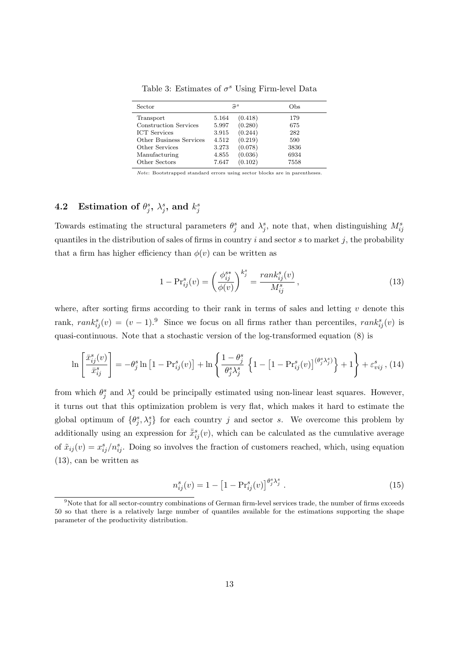| Sector                       |       | $\hat{\sigma}^s$ | Obs  |
|------------------------------|-------|------------------|------|
| Transport                    | 5.164 | (0.418)          | 179  |
| <b>Construction Services</b> | 5.997 | (0.280)          | 675  |
| <b>ICT</b> Services          | 3.915 | (0.244)          | 282  |
| Other Business Services      | 4.512 | (0.219)          | 590  |
| Other Services               | 3.273 | (0.078)          | 3836 |
| Manufacturing                | 4.855 | (0.036)          | 6934 |
| Other Sectors                | 7.647 | (0.102)          | 7558 |

Table 3: Estimates of  $\sigma^s$  Using Firm-level Data

*Note*: Bootstrapped standard errors using sector blocks are in parentheses.

## **4.2** Estimation of  $\theta_j^s$ ,  $\lambda_j^s$ , and  $k_j^s$

Towards estimating the structural parameters  $\theta_j^s$  and  $\lambda_j^s$ , note that, when distinguishing  $M_{ij}^s$ quantiles in the distribution of sales of firms in country *i* and sector *s* to market *j*, the probability that a firm has higher efficiency than  $\phi(v)$  can be written as

$$
1 - \text{Pr}_{ij}^s(v) = \left(\frac{\phi_{ij}^{s*}}{\phi(v)}\right)^{k_j^s} = \frac{rank_{ij}^s(v)}{M_{ij}^s},\tag{13}
$$

where, after sorting firms according to their rank in terms of sales and letting  $v$  denote this rank,  $rank_{ij}^s(v) = (v-1)$ .<sup>9</sup> Since we focus on all firms rather than percentiles,  $rank_{ij}^s(v)$  is quasi-continuous. Note that a stochastic version of the log-transformed equation (8) is

$$
\ln\left[\frac{\bar{x}_{ij}^s(v)}{\bar{x}_{ij}^s}\right] = -\theta_j^s \ln\left[1 - \Pr_{ij}^s(v)\right] + \ln\left\{\frac{1 - \theta_j^s}{\theta_j^s \lambda_j^s} \left\{1 - \left[1 - \Pr_{ij}^s(v)\right]^{(\theta_j^s \lambda_j^s)}\right\} + 1\right\} + \varepsilon_{vij}^s, (14)
$$

from which  $\theta_j^s$  and  $\lambda_j^s$  could be principally estimated using non-linear least squares. However, it turns out that this optimization problem is very flat, which makes it hard to estimate the global optimum of  $\{\theta_j^s, \lambda_j^s\}$  for each country *j* and sector *s*. We overcome this problem by additionally using an expression for  $\bar{\tilde{x}}^s_{ij}(v)$ , which can be calculated as the cumulative average of  $\tilde{x}_{ij}(v) = x_{ij}^s/n_{ij}^s$ . Doing so involves the fraction of customers reached, which, using equation (13), can be written as

$$
n_{ij}^{s}(v) = 1 - \left[1 - \Pr_{ij}^{s}(v)\right]^{\theta_{j}^{s} \lambda_{j}^{s}}.
$$
\n(15)

 $9$ Note that for all sector-country combinations of German firm-level services trade, the number of firms exceeds 50 so that there is a relatively large number of quantiles available for the estimations supporting the shape parameter of the productivity distribution.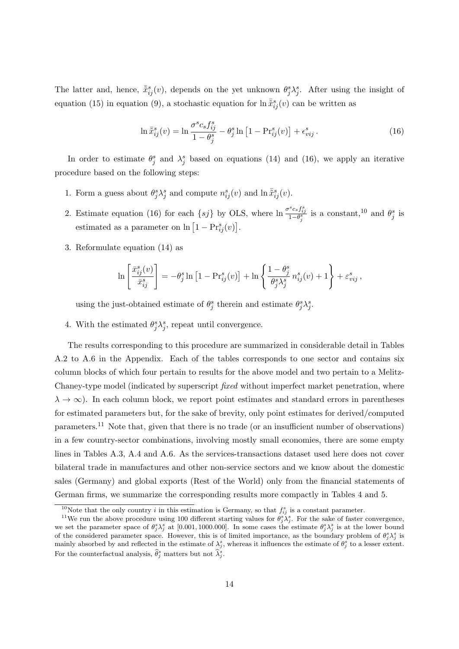The latter and, hence,  $\bar{x}_{ij}^s(v)$ , depends on the yet unknown  $\theta_j^s \lambda_j^s$ . After using the insight of equation (15) in equation (9), a stochastic equation for  $\ln \bar{\tilde{x}}_{ij}^s(v)$  can be written as

$$
\ln \bar{\tilde{x}}_{ij}^s(v) = \ln \frac{\sigma^s c_s f_{ij}^s}{1 - \theta_j^s} - \theta_j^s \ln \left[ 1 - \Pr_{ij}^s(v) \right] + \epsilon_{vij}^s. \tag{16}
$$

In order to estimate  $\theta_j^s$  and  $\lambda_j^s$  based on equations (14) and (16), we apply an iterative procedure based on the following steps:

- 1. Form a guess about  $\theta_j^s \lambda_j^s$  and compute  $n_{ij}^s(v)$  and  $\ln \bar{\tilde{x}}_{ij}^s(v)$ .
- 2. Estimate equation (16) for each  $\{sj\}$  by OLS, where  $\ln \frac{\sigma^s c_s f_{ij}^s}{1-\theta_j^s}$  is a constant,<sup>10</sup> and  $\theta_j^s$  is estimated as a parameter on  $\ln\left[1 - \text{Pr}_{ij}^s(v)\right]$ .
- 3. Reformulate equation (14) as

$$
\ln\left[\frac{\bar{x}_{ij}^s(v)}{\bar{x}_{ij}^s}\right] = -\theta_j^s \ln\left[1 - \Pr_{ij}^s(v)\right] + \ln\left\{\frac{1 - \theta_j^s}{\theta_j^s \lambda_j^s} n_{ij}^s(v) + 1\right\} + \varepsilon_{vij}^s,
$$

using the just-obtained estimate of  $\theta_j^s$  therein and estimate  $\theta_j^s \lambda_j^s$ .

4. With the estimated  $\theta_j^s \lambda_j^s$ , repeat until convergence.

The results corresponding to this procedure are summarized in considerable detail in Tables A.2 to A.6 in the Appendix. Each of the tables corresponds to one sector and contains six column blocks of which four pertain to results for the above model and two pertain to a Melitz-Chaney-type model (indicated by superscript *fixed* without imperfect market penetration, where  $\lambda \to \infty$ ). In each column block, we report point estimates and standard errors in parentheses for estimated parameters but, for the sake of brevity, only point estimates for derived/computed parameters.<sup>11</sup> Note that, given that there is no trade (or an insufficient number of observations) in a few country-sector combinations, involving mostly small economies, there are some empty lines in Tables A.3, A.4 and A.6. As the services-transactions dataset used here does not cover bilateral trade in manufactures and other non-service sectors and we know about the domestic sales (Germany) and global exports (Rest of the World) only from the financial statements of German firms, we summarize the corresponding results more compactly in Tables 4 and 5.

<sup>&</sup>lt;sup>10</sup>Note that the only country *i* in this estimation is Germany, so that  $f_{ij}^s$  is a constant parameter.

<sup>&</sup>lt;sup>11</sup>We run the above procedure using 100 different starting values for  $\theta_j^s \lambda_j^s$ . For the sake of faster convergence, we set the parameter space of  $\theta_j^s \lambda_j^s$  at [0.001, 1000.000]. In some cases the estimate  $\theta_j^s \lambda_j^s$  is at the lower bound of the considered parameter space. However, this is of limited importance, as the boundary problem of  $\theta_j^s \lambda_j^s$  is mainly absorbed by and reflected in the estimate of  $\lambda_j^s$ , whereas it influences the estimate of  $\theta_j^s$  to a lesser extent. For the counterfactual analysis,  $\widehat{\theta}_j^s$  matters but not  $\widehat{\lambda}_j^s$ .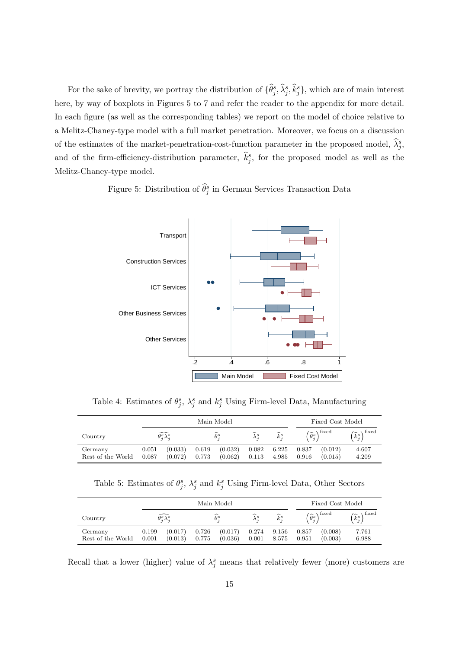For the sake of brevity, we portray the distribution of  $\{\hat{\theta}_j^s, \hat{\lambda}_j^s, \hat{k}_j^s\}$ , which are of main interest here, by way of boxplots in Figures 5 to 7 and refer the reader to the appendix for more detail. In each figure (as well as the corresponding tables) we report on the model of choice relative to a Melitz-Chaney-type model with a full market penetration. Moreover, we focus on a discussion of the estimates of the market-penetration-cost-function parameter in the proposed model,  $\hat{\lambda}_{j}^{s}$ , and of the firm-efficiency-distribution parameter,  $\hat{k}^s_j$ , for the proposed model as well as the Melitz-Chaney-type model.

Figure 5: Distribution of  $\widehat{\theta}_j^s$  in German Services Transaction Data



Table 4: Estimates of  $\theta_j^s$ ,  $\lambda_j^s$  and  $k_j^s$  Using Firm-level Data, Manufacturing

|                              | Main Model     |                                    |                |                    |                                          |                       | Fixed Cost Model |                                                        |                                        |
|------------------------------|----------------|------------------------------------|----------------|--------------------|------------------------------------------|-----------------------|------------------|--------------------------------------------------------|----------------------------------------|
| Country                      |                | $\widehat{\theta^s_i \lambda^s_i}$ |                | ∼<br>$\theta^s$    | $\widehat{\phantom{1}}$<br>$\lambda^s_i$ | $\widehat{k}_{i}^{s}$ |                  | $\left(\widehat{\theta}_{j}^{s}\right)^{\text{fixed}}$ | $\setminus$ fixed<br>$\widehat{k}_i^s$ |
| Germany<br>Rest of the World | 0.051<br>0.087 | (0.033)<br>(0.072)                 | 0.619<br>0.773 | (0.032)<br>(0.062) | 0.082<br>0.113                           | 6.225<br>4.985        | 0.837<br>0.916   | (0.012)<br>(0.015)                                     | 4.607<br>4.209                         |

Table 5: Estimates of  $\theta_j^s$ ,  $\lambda_j^s$  and  $k_j^s$  Using Firm-level Data, Other Sectors

|                              | Main Model     |                                    |                |                      |       |                          |                | Fixed Cost Model                                       |                                 |
|------------------------------|----------------|------------------------------------|----------------|----------------------|-------|--------------------------|----------------|--------------------------------------------------------|---------------------------------|
| Country                      |                | $\widehat{\theta_i^s \lambda_i^s}$ |                | $\widehat{\theta}^s$ |       | $\widehat{k}_{i}^{s}$    |                | $\left(\widehat{\theta}_{i}^{s}\right)^{\text{fixed}}$ | $\sqrt{fixed}$<br>$\hat{k}_i^s$ |
| Germany<br>Rest of the World | 0.199<br>0.001 | (0.017)<br>(0.013)                 | 0.726<br>0.775 | (0.017)<br>(0.036)   | 0.001 | $0.274$ $9.156$<br>8.575 | 0.857<br>0.951 | (0.008)<br>(0.003)                                     | 7.761<br>6.988                  |

Recall that a lower (higher) value of  $\lambda_j^s$  means that relatively fewer (more) customers are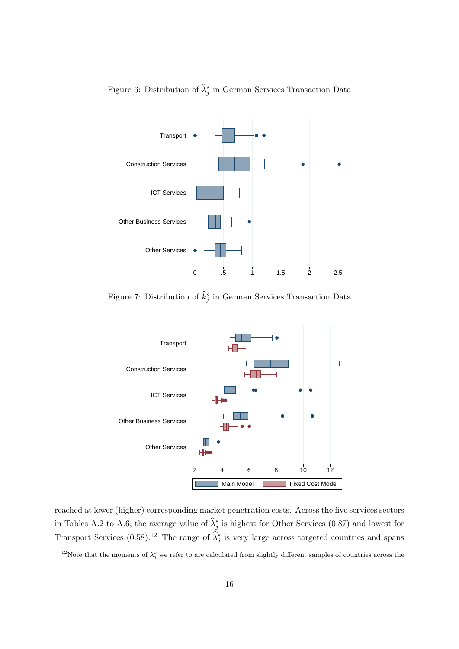

Figure 6: Distribution of  $\widehat{\lambda}^s_j$  in German Services Transaction Data

Figure 7: Distribution of  $\hat{k}^s_j$  in German Services Transaction Data



reached at lower (higher) corresponding market penetration costs. Across the five services sectors in Tables A.2 to A.6, the average value of  $\hat{\lambda}^s_j$  is highest for Other Services (0.87) and lowest for Transport Services (0.58).<sup>12</sup> The range of  $\hat{\lambda}_j^s$  is very large across targeted countries and spans

<sup>&</sup>lt;sup>12</sup>Note that the moments of  $\lambda_j^s$  we refer to are calculated from slightly different samples of countries across the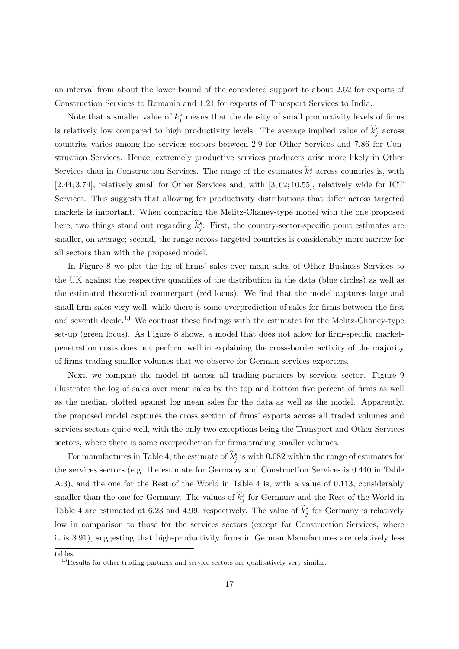an interval from about the lower bound of the considered support to about 2.52 for exports of Construction Services to Romania and 1.21 for exports of Transport Services to India.

Note that a smaller value of  $k_j^s$  means that the density of small productivity levels of firms is relatively low compared to high productivity levels. The average implied value of  $\hat{k}^s_j$  across countries varies among the services sectors between 2.9 for Other Services and 7.86 for Construction Services. Hence, extremely productive services producers arise more likely in Other Services than in Construction Services. The range of the estimates  $\hat{k}^s_j$  across countries is, with [2*.*44; 3*.*74], relatively small for Other Services and, with [3*,* 62; 10*.*55], relatively wide for ICT Services. This suggests that allowing for productivity distributions that differ across targeted markets is important. When comparing the Melitz-Chaney-type model with the one proposed here, two things stand out regarding  $\hat{k}^s_j$ : First, the country-sector-specific point estimates are smaller, on average; second, the range across targeted countries is considerably more narrow for all sectors than with the proposed model.

In Figure 8 we plot the log of firms' sales over mean sales of Other Business Services to the UK against the respective quantiles of the distribution in the data (blue circles) as well as the estimated theoretical counterpart (red locus). We find that the model captures large and small firm sales very well, while there is some overprediction of sales for firms between the first and seventh decile.<sup>13</sup> We contrast these findings with the estimates for the Melitz-Chaney-type set-up (green locus). As Figure 8 shows, a model that does not allow for firm-specific marketpenetration costs does not perform well in explaining the cross-border activity of the majority of firms trading smaller volumes that we observe for German services exporters.

Next, we compare the model fit across all trading partners by services sector. Figure 9 illustrates the log of sales over mean sales by the top and bottom five percent of firms as well as the median plotted against log mean sales for the data as well as the model. Apparently, the proposed model captures the cross section of firms' exports across all traded volumes and services sectors quite well, with the only two exceptions being the Transport and Other Services sectors, where there is some overprediction for firms trading smaller volumes.

For manufactures in Table 4, the estimate of  $\hat{\lambda}^s_j$  is with 0.082 within the range of estimates for the services sectors (e.g. the estimate for Germany and Construction Services is 0.440 in Table A.3), and the one for the Rest of the World in Table 4 is, with a value of 0.113, considerably smaller than the one for Germany. The values of  $\hat{k}^s_j$  for Germany and the Rest of the World in Table 4 are estimated at 6.23 and 4.99, respectively. The value of  $\hat{k}^s_j$  for Germany is relatively low in comparison to those for the services sectors (except for Construction Services, where it is 8.91), suggesting that high-productivity firms in German Manufactures are relatively less

tables.

 $13$ Results for other trading partners and service sectors are qualitatively very similar.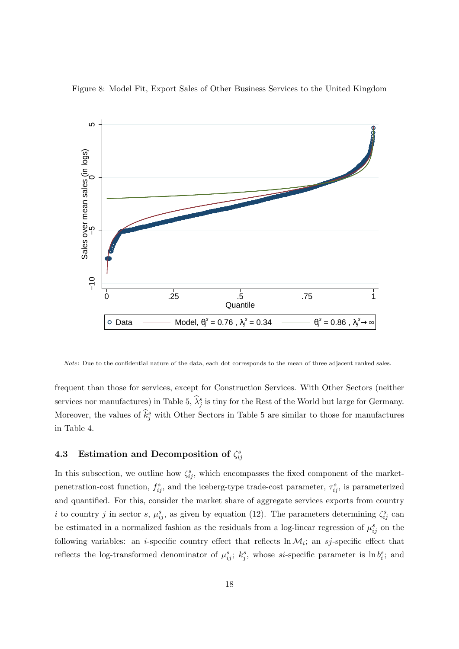



*Note*: Due to the confidential nature of the data, each dot corresponds to the mean of three adjacent ranked sales.

frequent than those for services, except for Construction Services. With Other Sectors (neither services nor manufactures) in Table 5,  $\hat{\lambda}^s_j$  is tiny for the Rest of the World but large for Germany. Moreover, the values of  $\hat{k}^s_j$  with Other Sectors in Table 5 are similar to those for manufactures in Table 4.

## **4.3** Estimation and Decomposition of  $\zeta_{ij}^s$

In this subsection, we outline how  $\zeta_{ij}^s$ , which encompasses the fixed component of the marketpenetration-cost function,  $f_{ij}^s$ , and the iceberg-type trade-cost parameter,  $\tau_{ij}^s$ , is parameterized and quantified. For this, consider the market share of aggregate services exports from country *i* to country *j* in sector *s*,  $\mu_{ij}^s$ , as given by equation (12). The parameters determining  $\zeta_{ij}^s$  can be estimated in a normalized fashion as the residuals from a log-linear regression of  $\mu_{ij}^s$  on the following variables: an *i*-specific country effect that reflects  $\ln M_i$ ; an *sj*-specific effect that reflects the log-transformed denominator of  $\mu_{ij}^s$ ;  $k_j^s$ , whose *si*-specific parameter is ln  $b_i^s$ ; and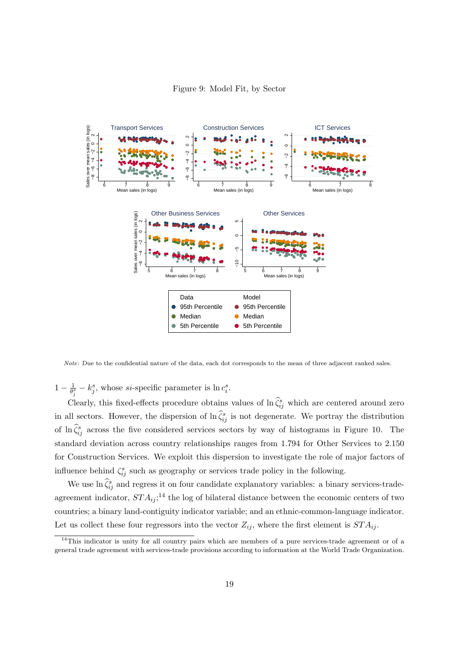

*Note*: Due to the confidential nature of the data, each dot corresponds to the mean of three adjacent ranked sales.

 $1 - \frac{1}{\theta^3}$  $\frac{1}{\theta_j^s} - k_j^s$ , whose *si*-specific parameter is ln  $c_i^s$ .

Clearly, this fixed-effects procedure obtains values of  $\ln \hat{\zeta}_{ij}^s$  which are centered around zero in all sectors. However, the dispersion of  $\ln \hat{\zeta}_{ij}^s$  is not degenerate. We portray the distribution of ln  $\hat{\zeta}_{ij}^s$  across the five considered services sectors by way of histograms in Figure 10. The standard deviation across country relationships ranges from 1.794 for Other Services to 2.150 for Construction Services. We exploit this dispersion to investigate the role of major factors of influence behind  $\zeta_{ij}^s$  such as geography or services trade policy in the following.

We use  $\ln \hat{\zeta}_{ij}^s$  and regress it on four candidate explanatory variables: a binary services-tradeagreement indicator,  $STA_{ij}$ <sup>14</sup> the log of bilateral distance between the economic centers of two countries; a binary land-contiguity indicator variable; and an ethnic-common-language indicator. Let us collect these four regressors into the vector  $Z_{ij}$ , where the first element is  $STA_{ij}$ .

 $14$ This indicator is unity for all country pairs which are members of a pure services-trade agreement or of a general trade agreement with services-trade provisions according to information at the World Trade Organization.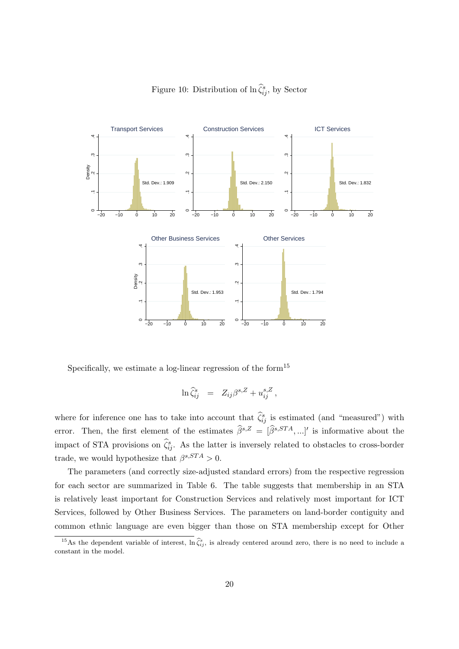

Figure 10: Distribution of  $\ln \hat{\zeta}_{ij}^s$ , by Sector

Specifically, we estimate a log-linear regression of the form $15$ 

$$
\ln \widehat{\zeta}_{ij}^s = Z_{ij} \beta^{s,Z} + u_{ij}^{s,Z},
$$

where for inference one has to take into account that  $\hat{\zeta}_{ij}^s$  is estimated (and "measured") with error. Then, the first element of the estimates  $\hat{\beta}^{s,Z} = [\hat{\beta}^{s,STA},...]'$  is informative about the impact of STA provisions on  $\hat{\zeta}_{ij}^s$ . As the latter is inversely related to obstacles to cross-border trade, we would hypothesize that  $\beta^{s,STA} > 0$ .

The parameters (and correctly size-adjusted standard errors) from the respective regression for each sector are summarized in Table 6. The table suggests that membership in an STA is relatively least important for Construction Services and relatively most important for ICT Services, followed by Other Business Services. The parameters on land-border contiguity and common ethnic language are even bigger than those on STA membership except for Other

<sup>&</sup>lt;sup>15</sup>As the dependent variable of interest,  $\ln \hat{\zeta}_{ij}^s$ , is already centered around zero, there is no need to include a constant in the model.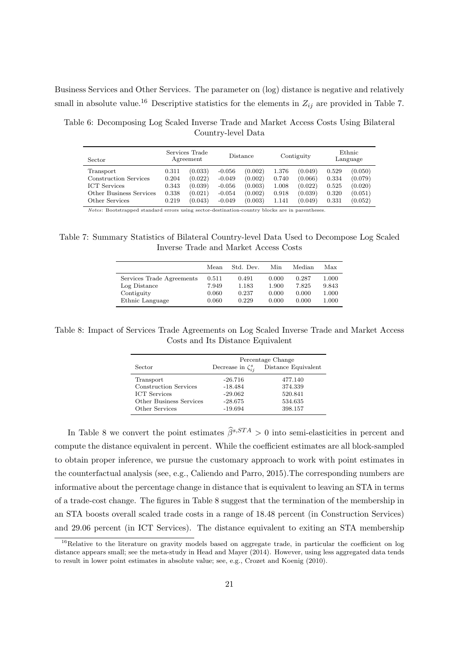Business Services and Other Services. The parameter on (log) distance is negative and relatively small in absolute value.<sup>16</sup> Descriptive statistics for the elements in  $Z_{ij}$  are provided in Table 7.

Table 6: Decomposing Log Scaled Inverse Trade and Market Access Costs Using Bilateral Country-level Data

| Sector                  |       | Services Trade<br>Agreement |          | Distance |       | Contiguity |       | Ethnic<br>Language |
|-------------------------|-------|-----------------------------|----------|----------|-------|------------|-------|--------------------|
| Transport               | 0.311 | (0.033)                     | $-0.056$ | (0.002)  | 1.376 | (0.049)    | 0.529 | (0.050)            |
| Construction Services   | 0.204 | (0.022)                     | $-0.049$ | (0.002)  | 0.740 | (0.066)    | 0.334 | (0.079)            |
| <b>ICT</b> Services     | 0.343 | (0.039)                     | $-0.056$ | (0.003)  | 1.008 | (0.022)    | 0.525 | (0.020)            |
| Other Business Services | 0.338 | (0.021)                     | $-0.054$ | (0.002)  | 0.918 | (0.039)    | 0.320 | (0.051)            |
| Other Services          | 0.219 | (0.043)                     | $-0.049$ | (0.003)  | 1.141 | (0.049)    | 0.331 | (0.052)            |

*Notes*: Bootstrapped standard errors using sector-destination-country blocks are in parentheses.

Table 7: Summary Statistics of Bilateral Country-level Data Used to Decompose Log Scaled Inverse Trade and Market Access Costs

|                           | Mean  | Std. Dev. | Min   | Median | Max   |
|---------------------------|-------|-----------|-------|--------|-------|
| Services Trade Agreements | 0.511 | 0.491     | 0.000 | 0.287  | 1.000 |
| Log Distance              | 7.949 | 1.183     | 1.900 | 7.825  | 9.843 |
| Contiguity                | 0.060 | 0.237     | 0.000 | 0.000  | 1.000 |
| Ethnic Language           | 0.060 | 0.229     | 0.000 | 0.000  | 1.000 |

Table 8: Impact of Services Trade Agreements on Log Scaled Inverse Trade and Market Access Costs and Its Distance Equivalent

|                                                                                                        |                                                               | Percentage Change                                   |
|--------------------------------------------------------------------------------------------------------|---------------------------------------------------------------|-----------------------------------------------------|
| Sector                                                                                                 | Decrease in $\zeta_{ii}^s$                                    | Distance Equivalent                                 |
| Transport<br>Construction Services<br><b>ICT</b> Services<br>Other Business Services<br>Other Services | $-26.716$<br>$-18.484$<br>$-29.062$<br>$-28.675$<br>$-19.694$ | 477.140<br>374.339<br>520.841<br>534.635<br>398.157 |

In Table 8 we convert the point estimates  $\hat{\beta}^{s,STA} > 0$  into semi-elasticities in percent and compute the distance equivalent in percent. While the coefficient estimates are all block-sampled to obtain proper inference, we pursue the customary approach to work with point estimates in the counterfactual analysis (see, e.g., Caliendo and Parro, 2015).The corresponding numbers are informative about the percentage change in distance that is equivalent to leaving an STA in terms of a trade-cost change. The figures in Table 8 suggest that the termination of the membership in an STA boosts overall scaled trade costs in a range of 18.48 percent (in Construction Services) and 29.06 percent (in ICT Services). The distance equivalent to exiting an STA membership

<sup>&</sup>lt;sup>16</sup>Relative to the literature on gravity models based on aggregate trade, in particular the coefficient on log distance appears small; see the meta-study in Head and Mayer (2014). However, using less aggregated data tends to result in lower point estimates in absolute value; see, e.g., Crozet and Koenig (2010).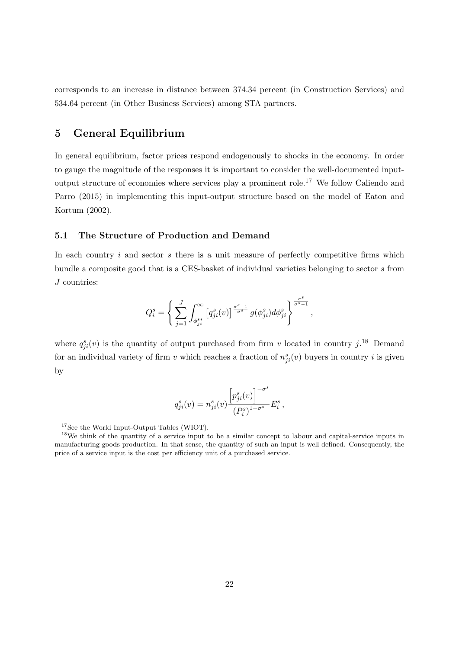corresponds to an increase in distance between 374.34 percent (in Construction Services) and 534.64 percent (in Other Business Services) among STA partners.

## **5 General Equilibrium**

In general equilibrium, factor prices respond endogenously to shocks in the economy. In order to gauge the magnitude of the responses it is important to consider the well-documented inputoutput structure of economies where services play a prominent role.<sup>17</sup> We follow Caliendo and Parro (2015) in implementing this input-output structure based on the model of Eaton and Kortum (2002).

#### **5.1 The Structure of Production and Demand**

In each country *i* and sector *s* there is a unit measure of perfectly competitive firms which bundle a composite good that is a CES-basket of individual varieties belonging to sector *s* from *J* countries:

$$
Q_i^s = \left\{ \sum_{j=1}^J \int_{\phi_{ji}^{s*}}^{\infty} \left[ q_{ji}^s(v) \right]^{\frac{\sigma^s-1}{\sigma^s}} g(\phi_{ji}^s) d\phi_{ji}^s \right\}^{\frac{\sigma^s}{\sigma^s-1}},
$$

where  $q_{ji}^s(v)$  is the quantity of output purchased from firm *v* located in country  $j$ <sup>18</sup> Demand for an individual variety of firm *v* which reaches a fraction of  $n_{ji}^s(v)$  buyers in country *i* is given by

$$
q_{ji}^{s}(v) = n_{ji}^{s}(v) \frac{\left[p_{ji}^{s}(v)\right]^{-\sigma^{s}}}{\left(P_{i}^{s}\right)^{1-\sigma^{s}}} E_{i}^{s},
$$

<sup>17</sup>See the World Input-Output Tables (WIOT).

<sup>&</sup>lt;sup>18</sup>We think of the quantity of a service input to be a similar concept to labour and capital-service inputs in manufacturing goods production. In that sense, the quantity of such an input is well defined. Consequently, the price of a service input is the cost per efficiency unit of a purchased service.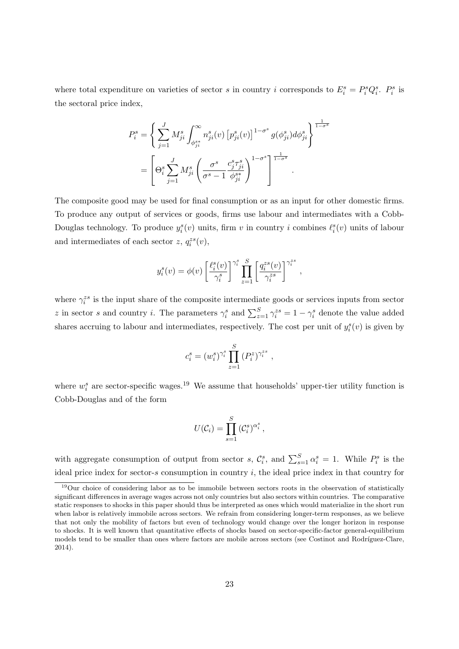where total expenditure on varieties of sector *s* in country *i* corresponds to  $E_i^s = P_i^s Q_i^s$ .  $P_i^s$  is the sectoral price index,

$$
P_i^s = \left\{ \sum_{j=1}^J M_{ji}^s \int_{\phi_{ji}^{s*}}^{\infty} n_{ji}^s(v) \left[ p_{ji}^s(v) \right]^{1-\sigma^s} g(\phi_{ji}^s) d\phi_{ji}^s \right\}^{\frac{1}{1-\sigma^s}}
$$
  
= 
$$
\left[ \Theta_i^s \sum_{j=1}^J M_{ji}^s \left( \frac{\sigma^s}{\sigma^s - 1} \frac{c_j^s \tau_{ji}^s}{\phi_{ji}^{s*}} \right)^{1-\sigma^s} \right]^{\frac{1}{1-\sigma^s}}
$$

The composite good may be used for final consumption or as an input for other domestic firms. To produce any output of services or goods, firms use labour and intermediates with a Cobb-Douglas technology. To produce  $y_i^s(v)$  units, firm *v* in country *i* combines  $\ell_i^s(v)$  units of labour and intermediates of each sector  $z$ ,  $q_i^{zs}(v)$ ,

$$
y_i^s(v) = \phi(v) \left[ \frac{\ell_i^s(v)}{\gamma_i^s} \right]^{\gamma_i^s} \prod_{z=1}^S \left[ \frac{q_i^{zs}(v)}{\gamma_i^{zs}} \right]^{\gamma_i^{zs}},
$$

where  $\gamma_i^{zs}$  is the input share of the composite intermediate goods or services inputs from sector *z* in sector *s* and country *i*. The parameters  $\gamma_i^s$  and  $\sum_{z=1}^S \gamma_i^{zs} = 1 - \gamma_i^s$  denote the value added shares accruing to labour and intermediates, respectively. The cost per unit of  $y_i^s(v)$  is given by

$$
c_i^s = (w_i^s)^{\gamma_i^s} \prod_{z=1}^S (P_i^z)^{\gamma_i^{zs}} ,
$$

where  $w_i^s$  are sector-specific wages.<sup>19</sup> We assume that households' upper-tier utility function is Cobb-Douglas and of the form

$$
U(\mathcal{C}_i) = \prod_{s=1}^S (\mathcal{C}_i^s)^{\alpha_i^s},
$$

with aggregate consumption of output from sector *s*,  $\mathcal{C}_i^s$ , and  $\sum_{s=1}^S \alpha_i^s = 1$ . While  $P_i^s$  is the ideal price index for sector-*s* consumption in country *i*, the ideal price index in that country for

<sup>&</sup>lt;sup>19</sup>Our choice of considering labor as to be immobile between sectors roots in the observation of statistically significant differences in average wages across not only countries but also sectors within countries. The comparative static responses to shocks in this paper should thus be interpreted as ones which would materialize in the short run when labor is relatively immobile across sectors. We refrain from considering longer-term responses, as we believe that not only the mobility of factors but even of technology would change over the longer horizon in response to shocks. It is well known that quantitative effects of shocks based on sector-specific-factor general-equilibrium models tend to be smaller than ones where factors are mobile across sectors (see Costinot and Rodríguez-Clare, 2014).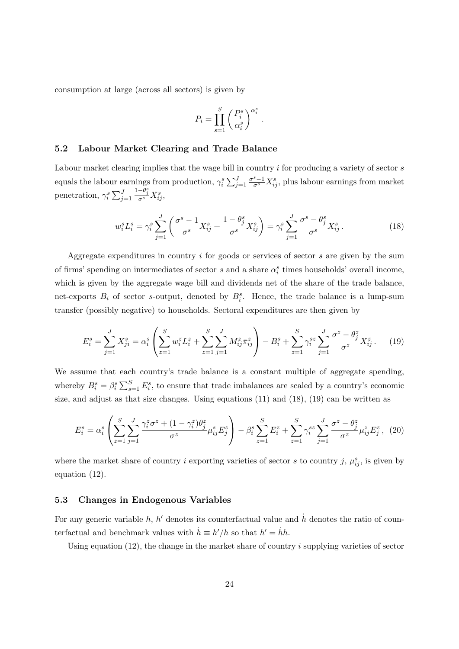consumption at large (across all sectors) is given by

$$
P_i = \prod_{s=1}^S \left(\frac{P_i^s}{\alpha_i^s}\right)^{\alpha_i^s}.
$$

#### **5.2 Labour Market Clearing and Trade Balance**

Labour market clearing implies that the wage bill in country *i* for producing a variety of sector *s* equals the labour earnings from production,  $\gamma_i^s \sum_{j=1}^J \frac{\sigma^s-1}{\sigma^s} X_{ij}^s$ , plus labour earnings from market penetration,  $\gamma_i^s \sum_{j=1}^J \frac{1-\theta_j^s}{\sigma^s} X_{ij}^s$ ,

$$
w_i^s L_i^s = \gamma_i^s \sum_{j=1}^J \left( \frac{\sigma^s - 1}{\sigma^s} X_{ij}^s + \frac{1 - \theta_j^s}{\sigma^s} X_{ij}^s \right) = \gamma_i^s \sum_{j=1}^J \frac{\sigma^s - \theta_j^s}{\sigma^s} X_{ij}^s. \tag{18}
$$

Aggregate expenditures in country *i* for goods or services of sector *s* are given by the sum of firms' spending on intermediates of sector *s* and a share  $\alpha_i^s$  times households' overall income, which is given by the aggregate wage bill and dividends net of the share of the trade balance, net-exports  $B_i$  of sector *s*-output, denoted by  $B_i^s$ . Hence, the trade balance is a lump-sum transfer (possibly negative) to households. Sectoral expenditures are then given by

$$
E_i^s = \sum_{j=1}^J X_{ji}^s = \alpha_i^s \left( \sum_{z=1}^S w_i^z L_i^z + \sum_{z=1}^S \sum_{j=1}^J M_{ij}^z \bar{\pi}_{ij}^z \right) - B_i^s + \sum_{z=1}^S \gamma_i^{sz} \sum_{j=1}^J \frac{\sigma^z - \theta_j^z}{\sigma^z} X_{ij}^z. \tag{19}
$$

We assume that each country's trade balance is a constant multiple of aggregate spending, whereby  $B_i^s = \beta_i^s \sum_{s=1}^S E_i^s$ , to ensure that trade imbalances are scaled by a country's economic size, and adjust as that size changes. Using equations (11) and (18), (19) can be written as

$$
E_i^s = \alpha_i^s \left( \sum_{z=1}^S \sum_{j=1}^J \frac{\gamma_i^z \sigma^z + (1 - \gamma_i^z) \theta_j^z}{\sigma^z} \mu_{ij}^s E_j^z \right) - \beta_i^s \sum_{z=1}^S E_i^z + \sum_{z=1}^S \gamma_i^{sz} \sum_{j=1}^J \frac{\sigma^z - \theta_j^z}{\sigma^z} \mu_{ij}^z E_j^z, \tag{20}
$$

where the market share of country *i* exporting varieties of sector *s* to country *j*,  $\mu_{ij}^s$ , is given by equation (12).

#### **5.3 Changes in Endogenous Variables**

For any generic variable  $h, h'$  denotes its counterfactual value and  $\dot{h}$  denotes the ratio of counterfactual and benchmark values with  $\dot{h} \equiv h'/h$  so that  $h' = \dot{h}h$ .

Using equation (12), the change in the market share of country *i* supplying varieties of sector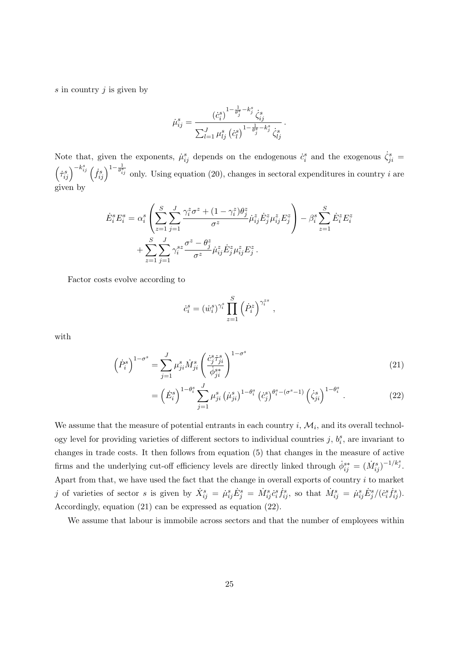*s* in country *j* is given by

$$
\dot{\mu}_{ij}^s = \frac{\left(\dot{c}_i^s\right)^{1 - \frac{1}{\theta_j^s} - k_j^s} \dot{\zeta}_{ij}^s}{\sum_{l=1}^J \mu_{lj}^s \left(\dot{c}_l^s\right)^{1 - \frac{1}{\theta_j^s} - k_j^s} \dot{\zeta}_{lj}^s}.
$$

Note that, given the exponents,  $\mu_{ij}^s$  depends on the endogenous  $\dot{c}_i^s$  and the exogenous  $\dot{\zeta}_{ji}^s$  =  $\left(\dot{\tau}_{ij}^s\right)^{-k_{ij}^s} \left(\dot{f}_{ij}^s\right)^{1-\frac{1}{\theta_{ij}^s}}$  only. Using equation (20), changes in sectoral expenditures in country *i* are given by

$$
\dot{E}_{i}^{s}E_{i}^{s} = \alpha_{i}^{s} \left( \sum_{z=1}^{S} \sum_{j=1}^{J} \frac{\gamma_{i}^{z} \sigma^{z} + (1 - \gamma_{i}^{z}) \theta_{j}^{z}}{\sigma^{z}} \dot{\mu}_{ij}^{z} \dot{E}_{j}^{z} \mu_{ij}^{z} E_{j}^{z} \right) - \beta_{i}^{s} \sum_{z=1}^{S} \dot{E}_{i}^{z} E_{i}^{z} + \sum_{z=1}^{S} \sum_{j=1}^{J} \gamma_{i}^{s z} \frac{\sigma^{z} - \theta_{j}^{z}}{\sigma^{z}} \dot{\mu}_{ij}^{z} \dot{E}_{j}^{z} \mu_{ij}^{z} E_{j}^{z}.
$$

Factor costs evolve according to

$$
\dot{c}_i^s = (\dot{w}_i^s)^{\gamma_i^s} \prod_{z=1}^S \left(\dot{P}_i^z\right)^{\gamma_i^{zs}},
$$

with

$$
\left(\dot{P}_i^s\right)^{1-\sigma^s} = \sum_{j=1}^J \mu_{ji}^s \dot{M}_{ji}^s \left(\frac{\dot{c}_j^s \dot{\tau}_{ji}^s}{\dot{\phi}_{ji}^{s*}}\right)^{1-\sigma^s} \tag{21}
$$

$$
= \left(\dot{E}_i^s\right)^{1-\theta_i^s} \sum_{j=1}^J \mu_{ji}^s \left(\dot{\mu}_{ji}^s\right)^{1-\theta_i^s} \left(\dot{c}_j^s\right)^{\theta_i^s - (\sigma^s - 1)} \left(\dot{\zeta}_{ji}^s\right)^{1-\theta_i^s} . \tag{22}
$$

We assume that the measure of potential entrants in each country  $i, \mathcal{M}_i$ , and its overall technology level for providing varieties of different sectors to individual countries  $j, b_i^s$ , are invariant to changes in trade costs. It then follows from equation (5) that changes in the measure of active firms and the underlying cut-off efficiency levels are directly linked through  $\dot{\phi}_{ij}^{s*} = (\dot{M}_{ij}^s)^{-1/k_j^s}$ . Apart from that, we have used the fact that the change in overall exports of country *i* to market j of varieties of sector s is given by  $\dot{X}_{ij}^s = \dot{\mu}_{ij}^s \dot{E}_j^s = \dot{M}_{ij}^s c_i^s \dot{f}_{ij}^s$ , so that  $\dot{M}_{ij}^s = \dot{\mu}_{ij}^s \dot{E}_j^s / (\dot{c}_i^s \dot{f}_{ij}^s)$ . Accordingly, equation (21) can be expressed as equation (22).

We assume that labour is immobile across sectors and that the number of employees within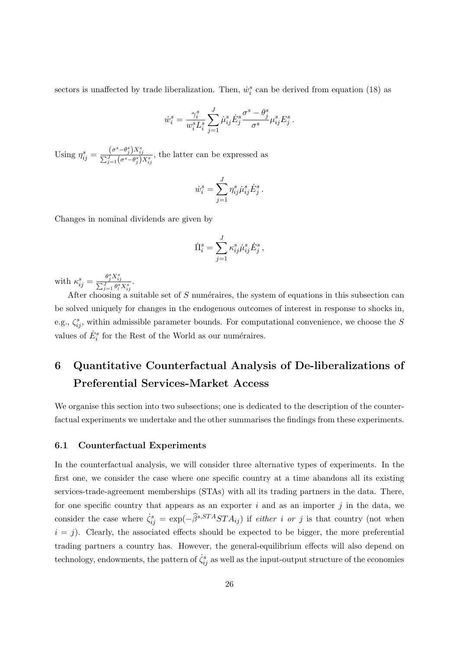sectors is unaffected by trade liberalization. Then,  $\dot{w}_i^s$  can be derived from equation (18) as

$$
\dot{w}_i^s = \frac{\gamma_i^s}{w_i^s L_i^s} \sum_{j=1}^J \dot{\mu}_{ij}^s \dot{E}_j^s \frac{\sigma^s - \theta_j^s}{\sigma^s} \mu_{ij}^s E_j^s.
$$

Using  $\eta_{ij}^s = \frac{(\sigma^s - \theta_j^s)X_{ij}^s}{\sum_{j=1}^J(\sigma^s - \theta_j^s)}$  $\frac{(0 - \sigma_j)A_{ij}}{\sum_{j=1}^J (\sigma^s - \theta_j^s)X_{ij}^s}$ , the latter can be expressed as

$$
\dot{w}_i^s = \sum_{j=1}^J \eta_{ij}^s \dot{\mu}_{ij}^s \dot{E}_j^s.
$$

Changes in nominal dividends are given by

$$
\dot{\Pi}_i^s = \sum_{j=1}^J \kappa_{ij}^s \dot{\mu}_{ij}^s \dot{E}_j^s \,,
$$

with  $\kappa_{ij}^s = \frac{\theta_j^s X_i^s}{\sum_{j=1}^J \theta_j^s}$  $\frac{\sum_{j=1}^{J} \theta_{l}^{s} X_{ij}^{s}}{\sum_{j=1}^{J} \theta_{l}^{s} X_{ij}^{s}}$ .

After choosing a suitable set of *S* numéraires, the system of equations in this subsection can be solved uniquely for changes in the endogenous outcomes of interest in response to shocks in, e.g.,  $\zeta_{ij}^s$ , within admissible parameter bounds. For computational convenience, we choose the *S* values of  $\dot{E}^s_i$  for the Rest of the World as our numéraires.

## **6 Quantitative Counterfactual Analysis of De-liberalizations of Preferential Services-Market Access**

We organise this section into two subsections; one is dedicated to the description of the counterfactual experiments we undertake and the other summarises the findings from these experiments.

#### **6.1 Counterfactual Experiments**

In the counterfactual analysis, we will consider three alternative types of experiments. In the first one, we consider the case where one specific country at a time abandons all its existing services-trade-agreement memberships (STAs) with all its trading partners in the data. There, for one specific country that appears as an exporter *i* and as an importer *j* in the data, we consider the case where  $\dot{\zeta}_{ij}^s = \exp(-\hat{\beta}^{s,STA}STA_{ij})$  if *either i* or *j* is that country (not when  $i = j$ ). Clearly, the associated effects should be expected to be bigger, the more preferential trading partners a country has. However, the general-equilibrium effects will also depend on technology, endowments, the pattern of  $\dot{\zeta}_{ij}^s$  as well as the input-output structure of the economies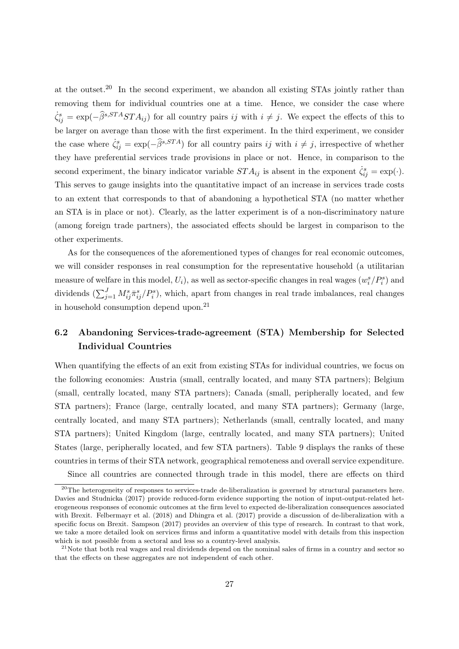at the outset.<sup>20</sup> In the second experiment, we abandon all existing STAs jointly rather than removing them for individual countries one at a time. Hence, we consider the case where  $\dot{\zeta}_{ij}^s = \exp(-\hat{\beta}^{s,STAS}TA_{ij})$  for all country pairs *ij* with  $i \neq j$ . We expect the effects of this to be larger on average than those with the first experiment. In the third experiment, we consider the case where  $\dot{\zeta}_{ij}^s = \exp(-\hat{\beta}^{s,STA})$  for all country pairs *ij* with  $i \neq j$ , irrespective of whether they have preferential services trade provisions in place or not. Hence, in comparison to the second experiment, the binary indicator variable  $STA_{ij}$  is absent in the exponent  $\dot{\zeta}_{ij}^s = \exp(\cdot)$ . This serves to gauge insights into the quantitative impact of an increase in services trade costs to an extent that corresponds to that of abandoning a hypothetical STA (no matter whether an STA is in place or not). Clearly, as the latter experiment is of a non-discriminatory nature (among foreign trade partners), the associated effects should be largest in comparison to the other experiments.

As for the consequences of the aforementioned types of changes for real economic outcomes, we will consider responses in real consumption for the representative household (a utilitarian measure of welfare in this model,  $U_i$ ), as well as sector-specific changes in real wages  $(w_i^s/P_i^s)$  and dividends  $(\sum_{j=1}^{J} M_{ij}^{s} \bar{\pi}_{ij}^{s}/P_i^{s})$ , which, apart from changes in real trade imbalances, real changes in household consumption depend upon.<sup>21</sup>

## **6.2 Abandoning Services-trade-agreement (STA) Membership for Selected Individual Countries**

When quantifying the effects of an exit from existing STAs for individual countries, we focus on the following economies: Austria (small, centrally located, and many STA partners); Belgium (small, centrally located, many STA partners); Canada (small, peripherally located, and few STA partners); France (large, centrally located, and many STA partners); Germany (large, centrally located, and many STA partners); Netherlands (small, centrally located, and many STA partners); United Kingdom (large, centrally located, and many STA partners); United States (large, peripherally located, and few STA partners). Table 9 displays the ranks of these countries in terms of their STA network, geographical remoteness and overall service expenditure.

Since all countries are connected through trade in this model, there are effects on third

<sup>&</sup>lt;sup>20</sup>The heterogeneity of responses to services-trade de-liberalization is governed by structural parameters here. Davies and Studnicka (2017) provide reduced-form evidence supporting the notion of input-output-related heterogeneous responses of economic outcomes at the firm level to expected de-liberalization consequences associated with Brexit. Felbermayr et al. (2018) and Dhingra et al. (2017) provide a discussion of de-liberalization with a specific focus on Brexit. Sampson (2017) provides an overview of this type of research. In contrast to that work, we take a more detailed look on services firms and inform a quantitative model with details from this inspection which is not possible from a sectoral and less so a country-level analysis.

 $21$ Note that both real wages and real dividends depend on the nominal sales of firms in a country and sector so that the effects on these aggregates are not independent of each other.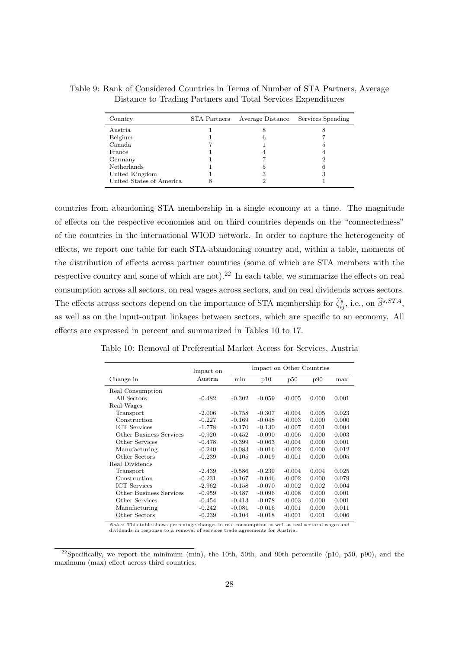| Country                  | STA Partners | Average Distance | Services Spending |
|--------------------------|--------------|------------------|-------------------|
| Austria                  |              |                  | σ                 |
| Belgium                  |              |                  |                   |
| Canada                   |              |                  |                   |
| France                   |              |                  |                   |
| Germany                  |              |                  |                   |
| Netherlands              |              | ۰,               | 6                 |
| United Kingdom           |              | З                | 3                 |
| United States of America |              |                  |                   |

Table 9: Rank of Considered Countries in Terms of Number of STA Partners, Average Distance to Trading Partners and Total Services Expenditures

countries from abandoning STA membership in a single economy at a time. The magnitude of effects on the respective economies and on third countries depends on the "connectedness" of the countries in the international WIOD network. In order to capture the heterogeneity of effects, we report one table for each STA-abandoning country and, within a table, moments of the distribution of effects across partner countries (some of which are STA members with the respective country and some of which are not).<sup>22</sup> In each table, we summarize the effects on real consumption across all sectors, on real wages across sectors, and on real dividends across sectors. The effects across sectors depend on the importance of STA membership for  $\hat{\zeta}_{ij}^s$ , i.e., on  $\hat{\beta}^{s,STA}$ , as well as on the input-output linkages between sectors, which are specific to an economy. All effects are expressed in percent and summarized in Tables 10 to 17.

| Table 10: Removal of Preferential Market Access for Services, Austria |  |
|-----------------------------------------------------------------------|--|
|-----------------------------------------------------------------------|--|

|                                | Impact on |          |          | Impact on Other Countries |       |       |
|--------------------------------|-----------|----------|----------|---------------------------|-------|-------|
| Change in                      | Austria   | min      | p10      | p50                       | p90   | max   |
| Real Consumption               |           |          |          |                           |       |       |
| All Sectors                    | $-0.482$  | $-0.302$ | $-0.059$ | $-0.005$                  | 0.000 | 0.001 |
| Real Wages                     |           |          |          |                           |       |       |
| Transport                      | $-2.006$  | $-0.758$ | $-0.307$ | $-0.004$                  | 0.005 | 0.023 |
| Construction                   | $-0.227$  | $-0.169$ | $-0.048$ | $-0.003$                  | 0.000 | 0.000 |
| <b>ICT</b> Services            | $-1.778$  | $-0.170$ | $-0.130$ | $-0.007$                  | 0.001 | 0.004 |
| Other Business Services        | $-0.920$  | $-0.452$ | $-0.090$ | $-0.006$                  | 0.000 | 0.003 |
| Other Services                 | $-0.478$  | $-0.399$ | $-0.063$ | $-0.004$                  | 0.000 | 0.001 |
| Manufacturing                  | $-0.240$  | $-0.083$ | $-0.016$ | $-0.002$                  | 0.000 | 0.012 |
| Other Sectors                  | $-0.239$  | $-0.105$ | $-0.019$ | $-0.001$                  | 0.000 | 0.005 |
| Real Dividends                 |           |          |          |                           |       |       |
| Transport                      | $-2.439$  | $-0.586$ | $-0.239$ | $-0.004$                  | 0.004 | 0.025 |
| Construction                   | $-0.231$  | $-0.167$ | $-0.046$ | $-0.002$                  | 0.000 | 0.079 |
| <b>ICT</b> Services            | $-2.962$  | $-0.158$ | $-0.070$ | $-0.002$                  | 0.002 | 0.004 |
| <b>Other Business Services</b> | $-0.959$  | $-0.487$ | $-0.096$ | $-0.008$                  | 0.000 | 0.001 |
| Other Services                 | $-0.454$  | $-0.413$ | $-0.078$ | $-0.003$                  | 0.000 | 0.001 |
| Manufacturing                  | $-0.242$  | $-0.081$ | $-0.016$ | $-0.001$                  | 0.000 | 0.011 |
| Other Sectors                  | $-0.239$  | $-0.104$ | $-0.018$ | $-0.001$                  | 0.001 | 0.006 |

*Notes*: This table shows percentage changes in real consumption as well as real sectoral wages and dividends in response to a removal of services trade agreements for Austria.

<sup>&</sup>lt;sup>22</sup>Specifically, we report the minimum (min), the 10th, 50th, and 90th percentile (p10, p50, p90), and the maximum (max) effect across third countries.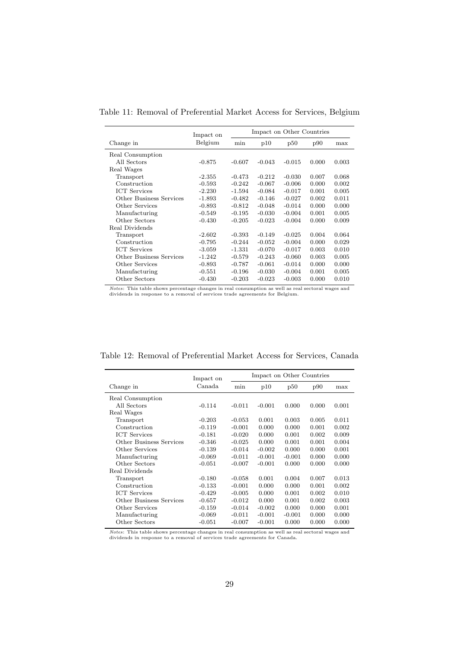Table 11: Removal of Preferential Market Access for Services, Belgium

|                         | Impact on |          | Impact on Other Countries |          |       |       |  |
|-------------------------|-----------|----------|---------------------------|----------|-------|-------|--|
| Change in               | Belgium   | min      | p10                       | p50      | p90   | max   |  |
| Real Consumption        |           |          |                           |          |       |       |  |
| All Sectors             | $-0.875$  | $-0.607$ | $-0.043$                  | $-0.015$ | 0.000 | 0.003 |  |
| Real Wages              |           |          |                           |          |       |       |  |
| Transport               | $-2.355$  | $-0.473$ | $-0.212$                  | $-0.030$ | 0.007 | 0.068 |  |
| Construction            | $-0.593$  | $-0.242$ | $-0.067$                  | $-0.006$ | 0.000 | 0.002 |  |
| <b>ICT</b> Services     | $-2.230$  | $-1.594$ | $-0.084$                  | $-0.017$ | 0.001 | 0.005 |  |
| Other Business Services | $-1.893$  | $-0.482$ | $-0.146$                  | $-0.027$ | 0.002 | 0.011 |  |
| Other Services          | $-0.893$  | $-0.812$ | $-0.048$                  | $-0.014$ | 0.000 | 0.000 |  |
| Manufacturing           | $-0.549$  | $-0.195$ | $-0.030$                  | $-0.004$ | 0.001 | 0.005 |  |
| Other Sectors           | $-0.430$  | $-0.205$ | $-0.023$                  | $-0.004$ | 0.000 | 0.009 |  |
| Real Dividends          |           |          |                           |          |       |       |  |
| Transport               | $-2.602$  | $-0.393$ | $-0.149$                  | $-0.025$ | 0.004 | 0.064 |  |
| Construction            | $-0.795$  | $-0.244$ | $-0.052$                  | $-0.004$ | 0.000 | 0.029 |  |
| <b>ICT</b> Services     | $-3.059$  | -1.331   | $-0.070$                  | $-0.017$ | 0.003 | 0.010 |  |
| Other Business Services | $-1.242$  | $-0.579$ | $-0.243$                  | $-0.060$ | 0.003 | 0.005 |  |
| Other Services          | $-0.893$  | $-0.787$ | $-0.061$                  | $-0.014$ | 0.000 | 0.000 |  |
| Manufacturing           | $-0.551$  | $-0.196$ | $-0.030$                  | $-0.004$ | 0.001 | 0.005 |  |
| Other Sectors           | $-0.430$  | $-0.203$ | $-0.023$                  | $-0.003$ | 0.000 | 0.010 |  |

*Notes*: This table shows percentage changes in real consumption as well as real sectoral wages and dividends in response to a removal of services trade agreements for Belgium.

| Table 12: Removal of Preferential Market Access for Services, Canada |  |  |
|----------------------------------------------------------------------|--|--|

|                         | Impact on | Impact on Other Countries |          |          |       |       |  |  |
|-------------------------|-----------|---------------------------|----------|----------|-------|-------|--|--|
| Change in               | Canada    | min                       | p10      | p50      | p90   | max   |  |  |
| Real Consumption        |           |                           |          |          |       |       |  |  |
| All Sectors             | $-0.114$  | $-0.011$                  | $-0.001$ | 0.000    | 0.000 | 0.001 |  |  |
| Real Wages              |           |                           |          |          |       |       |  |  |
| Transport               | $-0.203$  | $-0.053$                  | 0.001    | 0.003    | 0.005 | 0.011 |  |  |
| Construction            | $-0.119$  | $-0.001$                  | 0.000    | 0.000    | 0.001 | 0.002 |  |  |
| <b>ICT</b> Services     | $-0.181$  | $-0.020$                  | 0.000    | 0.001    | 0.002 | 0.009 |  |  |
| Other Business Services | $-0.346$  | $-0.025$                  | 0.000    | 0.001    | 0.001 | 0.004 |  |  |
| Other Services          | $-0.139$  | $-0.014$                  | $-0.002$ | 0.000    | 0.000 | 0.001 |  |  |
| Manufacturing           | $-0.069$  | $-0.011$                  | $-0.001$ | $-0.001$ | 0.000 | 0.000 |  |  |
| Other Sectors           | $-0.051$  | $-0.007$                  | $-0.001$ | 0.000    | 0.000 | 0.000 |  |  |
| Real Dividends          |           |                           |          |          |       |       |  |  |
| Transport               | $-0.180$  | $-0.058$                  | 0.001    | 0.004    | 0.007 | 0.013 |  |  |
| Construction            | $-0.133$  | $-0.001$                  | 0.000    | 0.000    | 0.001 | 0.002 |  |  |
| <b>ICT</b> Services     | $-0.429$  | $-0.005$                  | 0.000    | 0.001    | 0.002 | 0.010 |  |  |
| Other Business Services | $-0.657$  | $-0.012$                  | 0.000    | 0.001    | 0.002 | 0.003 |  |  |
| Other Services          | $-0.159$  | $-0.014$                  | $-0.002$ | 0.000    | 0.000 | 0.001 |  |  |
| Manufacturing           | $-0.069$  | $-0.011$                  | $-0.001$ | $-0.001$ | 0.000 | 0.000 |  |  |
| Other Sectors           | $-0.051$  | $-0.007$                  | $-0.001$ | 0.000    | 0.000 | 0.000 |  |  |

*Notes*: This table shows percentage changes in real consumption as well as real sectoral wages and dividends in response to a removal of services trade agreements for Canada.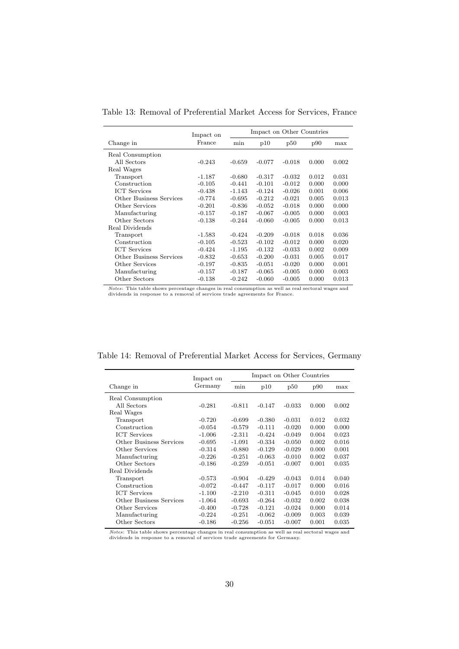|  |  |  | Table 13: Removal of Preferential Market Access for Services, France |  |  |  |  |  |
|--|--|--|----------------------------------------------------------------------|--|--|--|--|--|
|--|--|--|----------------------------------------------------------------------|--|--|--|--|--|

|                         | Impact on Other Countries<br>Impact on |          |          |          |       |       |  |
|-------------------------|----------------------------------------|----------|----------|----------|-------|-------|--|
| Change in               | France                                 | min      | p10      | p50      | p90   | max   |  |
| Real Consumption        |                                        |          |          |          |       |       |  |
| All Sectors             | $-0.243$                               | $-0.659$ | $-0.077$ | $-0.018$ | 0.000 | 0.002 |  |
| Real Wages              |                                        |          |          |          |       |       |  |
| Transport               | $-1.187$                               | $-0.680$ | $-0.317$ | $-0.032$ | 0.012 | 0.031 |  |
| Construction            | $-0.105$                               | $-0.441$ | $-0.101$ | $-0.012$ | 0.000 | 0.000 |  |
| <b>ICT</b> Services     | $-0.438$                               | $-1.143$ | $-0.124$ | $-0.026$ | 0.001 | 0.006 |  |
| Other Business Services | $-0.774$                               | $-0.695$ | $-0.212$ | $-0.021$ | 0.005 | 0.013 |  |
| Other Services          | $-0.201$                               | $-0.836$ | $-0.052$ | $-0.018$ | 0.000 | 0.000 |  |
| Manufacturing           | $-0.157$                               | $-0.187$ | $-0.067$ | $-0.005$ | 0.000 | 0.003 |  |
| Other Sectors           | $-0.138$                               | $-0.244$ | $-0.060$ | $-0.005$ | 0.000 | 0.013 |  |
| Real Dividends          |                                        |          |          |          |       |       |  |
| Transport               | $-1.583$                               | $-0.424$ | $-0.209$ | $-0.018$ | 0.018 | 0.036 |  |
| Construction            | $-0.105$                               | $-0.523$ | $-0.102$ | $-0.012$ | 0.000 | 0.020 |  |
| <b>ICT</b> Services     | $-0.424$                               | $-1.195$ | $-0.132$ | $-0.033$ | 0.002 | 0.009 |  |
| Other Business Services | $-0.832$                               | $-0.653$ | $-0.200$ | $-0.031$ | 0.005 | 0.017 |  |
| Other Services          | $-0.197$                               | $-0.835$ | $-0.051$ | $-0.020$ | 0.000 | 0.001 |  |
| Manufacturing           | $-0.157$                               | $-0.187$ | $-0.065$ | $-0.005$ | 0.000 | 0.003 |  |
| Other Sectors           | $-0.138$                               | $-0.242$ | $-0.060$ | $-0.005$ | 0.000 | 0.013 |  |

*Notes*: This table shows percentage changes in real consumption as well as real sectoral wages and dividends in response to a removal of services trade agreements for France.

| Table 14: Removal of Preferential Market Access for Services, Germany |  |
|-----------------------------------------------------------------------|--|
|-----------------------------------------------------------------------|--|

|                         | Impact on | Impact on Other Countries |          |          |       |       |  |  |
|-------------------------|-----------|---------------------------|----------|----------|-------|-------|--|--|
| Change in               | Germany   | min                       | p10      | p50      | p90   | max   |  |  |
| Real Consumption        |           |                           |          |          |       |       |  |  |
| All Sectors             | $-0.281$  | $-0.811$                  | $-0.147$ | $-0.033$ | 0.000 | 0.002 |  |  |
| Real Wages              |           |                           |          |          |       |       |  |  |
| Transport               | $-0.720$  | $-0.699$                  | $-0.380$ | $-0.031$ | 0.012 | 0.032 |  |  |
| Construction            | $-0.054$  | $-0.579$                  | $-0.111$ | $-0.020$ | 0.000 | 0.000 |  |  |
| <b>ICT</b> Services     | $-1.006$  | $-2.311$                  | $-0.424$ | $-0.049$ | 0.004 | 0.023 |  |  |
| Other Business Services | $-0.695$  | $-1.091$                  | $-0.334$ | $-0.050$ | 0.002 | 0.016 |  |  |
| Other Services          | $-0.314$  | $-0.880$                  | $-0.129$ | $-0.029$ | 0.000 | 0.001 |  |  |
| Manufacturing           | $-0.226$  | $-0.251$                  | $-0.063$ | $-0.010$ | 0.002 | 0.037 |  |  |
| Other Sectors           | $-0.186$  | $-0.259$                  | $-0.051$ | $-0.007$ | 0.001 | 0.035 |  |  |
| Real Dividends          |           |                           |          |          |       |       |  |  |
| Transport               | $-0.573$  | $-0.904$                  | $-0.429$ | $-0.043$ | 0.014 | 0.040 |  |  |
| Construction            | $-0.072$  | $-0.447$                  | $-0.117$ | $-0.017$ | 0.000 | 0.016 |  |  |
| <b>ICT</b> Services     | $-1.100$  | $-2.210$                  | $-0.311$ | $-0.045$ | 0.010 | 0.028 |  |  |
| Other Business Services | $-1.064$  | $-0.693$                  | $-0.264$ | $-0.032$ | 0.002 | 0.038 |  |  |
| Other Services          | $-0.400$  | $-0.728$                  | $-0.121$ | $-0.024$ | 0.000 | 0.014 |  |  |
| Manufacturing           | $-0.224$  | $-0.251$                  | $-0.062$ | $-0.009$ | 0.003 | 0.039 |  |  |
| Other Sectors           | $-0.186$  | $-0.256$                  | $-0.051$ | $-0.007$ | 0.001 | 0.035 |  |  |

*Notes*: This table shows percentage changes in real consumption as well as real sectoral wages and dividends in response to a removal of services trade agreements for Germany.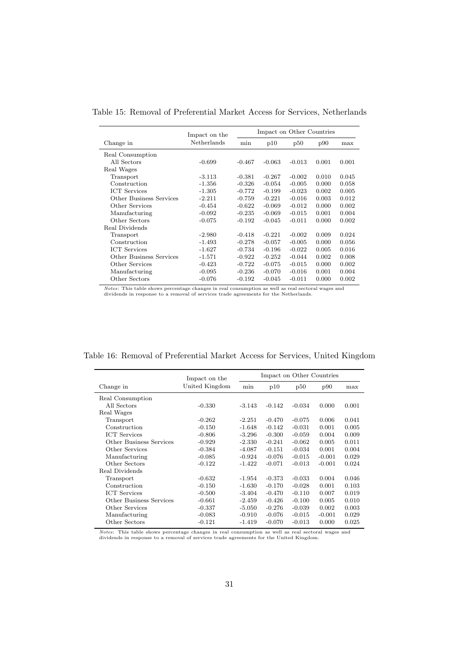| Table 15: Removal of Preferential Market Access for Services, Netherlands |  |
|---------------------------------------------------------------------------|--|
|---------------------------------------------------------------------------|--|

|                         | Impact on the |          | Impact on Other Countries |          |       |       |
|-------------------------|---------------|----------|---------------------------|----------|-------|-------|
| Change in               | Netherlands   | min      | p10                       | p50      | p90   | max   |
| Real Consumption        |               |          |                           |          |       |       |
| All Sectors             | $-0.699$      | $-0.467$ | $-0.063$                  | $-0.013$ | 0.001 | 0.001 |
| Real Wages              |               |          |                           |          |       |       |
| Transport               | $-3.113$      | $-0.381$ | $-0.267$                  | $-0.002$ | 0.010 | 0.045 |
| Construction            | $-1.356$      | $-0.326$ | $-0.054$                  | $-0.005$ | 0.000 | 0.058 |
| <b>ICT</b> Services     | $-1.305$      | $-0.772$ | $-0.199$                  | $-0.023$ | 0.002 | 0.005 |
| Other Business Services | $-2.211$      | $-0.759$ | $-0.221$                  | $-0.016$ | 0.003 | 0.012 |
| Other Services          | $-0.454$      | $-0.622$ | $-0.069$                  | $-0.012$ | 0.000 | 0.002 |
| Manufacturing           | $-0.092$      | $-0.235$ | $-0.069$                  | $-0.015$ | 0.001 | 0.004 |
| Other Sectors           | $-0.075$      | $-0.192$ | $-0.045$                  | $-0.011$ | 0.000 | 0.002 |
| Real Dividends          |               |          |                           |          |       |       |
| Transport               | $-2.980$      | $-0.418$ | $-0.221$                  | $-0.002$ | 0.009 | 0.024 |
| Construction            | $-1.493$      | $-0.278$ | $-0.057$                  | $-0.005$ | 0.000 | 0.056 |
| <b>ICT</b> Services     | $-1.627$      | $-0.734$ | $-0.196$                  | $-0.022$ | 0.005 | 0.016 |
| Other Business Services | $-1.571$      | $-0.922$ | $-0.252$                  | $-0.044$ | 0.002 | 0.008 |
| Other Services          | $-0.423$      | $-0.722$ | $-0.075$                  | $-0.015$ | 0.000 | 0.002 |
| Manufacturing           | $-0.095$      | $-0.236$ | $-0.070$                  | $-0.016$ | 0.001 | 0.004 |
| Other Sectors           | $-0.076$      | $-0.192$ | $-0.045$                  | $-0.011$ | 0.000 | 0.002 |

*Notes*: This table shows percentage changes in real consumption as well as real sectoral wages and dividends in response to a removal of services trade agreements for the Netherlands.

| Table 16: Removal of Preferential Market Access for Services, United Kingdom |  |  |
|------------------------------------------------------------------------------|--|--|
|------------------------------------------------------------------------------|--|--|

|                                | Impact on the  |          | Impact on Other Countries |          |          |       |
|--------------------------------|----------------|----------|---------------------------|----------|----------|-------|
| Change in                      | United Kingdom | min      | p10                       | p50      | p90      | max   |
| Real Consumption               |                |          |                           |          |          |       |
| All Sectors                    | $-0.330$       | $-3.143$ | $-0.142$                  | $-0.034$ | 0.000    | 0.001 |
| Real Wages                     |                |          |                           |          |          |       |
| Transport                      | $-0.262$       | $-2.251$ | $-0.470$                  | $-0.075$ | 0.006    | 0.041 |
| Construction                   | $-0.150$       | $-1.648$ | $-0.142$                  | $-0.031$ | 0.001    | 0.005 |
| <b>ICT</b> Services            | $-0.806$       | $-3.296$ | $-0.300$                  | $-0.059$ | 0.004    | 0.009 |
| Other Business Services        | $-0.929$       | $-2.330$ | $-0.241$                  | $-0.062$ | 0.005    | 0.011 |
| Other Services                 | $-0.384$       | $-4.087$ | $-0.151$                  | $-0.034$ | 0.001    | 0.004 |
| Manufacturing                  | $-0.085$       | $-0.924$ | $-0.076$                  | $-0.015$ | $-0.001$ | 0.029 |
| Other Sectors                  | $-0.122$       | $-1.422$ | $-0.071$                  | $-0.013$ | $-0.001$ | 0.024 |
| Real Dividends                 |                |          |                           |          |          |       |
| Transport                      | $-0.632$       | $-1.954$ | $-0.373$                  | $-0.033$ | 0.004    | 0.046 |
| Construction                   | $-0.150$       | $-1.630$ | $-0.170$                  | $-0.028$ | 0.001    | 0.103 |
| <b>ICT</b> Services            | $-0.500$       | $-3.404$ | $-0.470$                  | $-0.110$ | 0.007    | 0.019 |
| <b>Other Business Services</b> | $-0.661$       | $-2.459$ | $-0.426$                  | $-0.100$ | 0.005    | 0.010 |
| Other Services                 | $-0.337$       | $-5.050$ | $-0.276$                  | $-0.039$ | 0.002    | 0.003 |
| Manufacturing                  | $-0.083$       | $-0.910$ | $-0.076$                  | $-0.015$ | $-0.001$ | 0.029 |
| Other Sectors                  | $-0.121$       | $-1.419$ | $-0.070$                  | $-0.013$ | 0.000    | 0.025 |

*Notes*: This table shows percentage changes in real consumption as well as real sectoral wages and dividends in response to a removal of services trade agreements for the United Kingdom.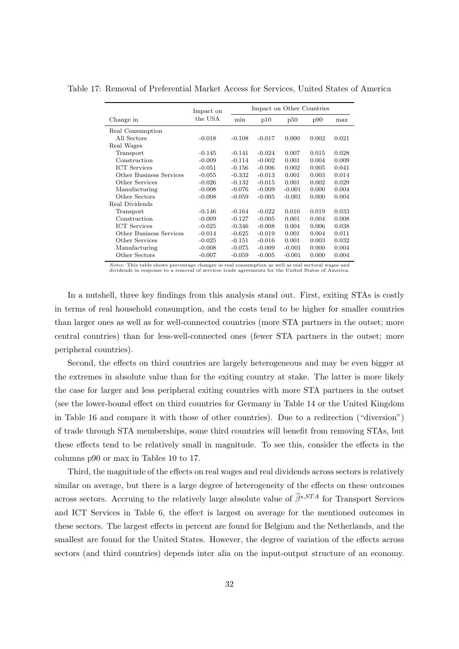Table 17: Removal of Preferential Market Access for Services, United States of America

|                         | Impact on | Impact on Other Countries |          |          |       |       |
|-------------------------|-----------|---------------------------|----------|----------|-------|-------|
| Change in               | the USA   | min                       | p10      | p50      | p90   | max   |
| Real Consumption        |           |                           |          |          |       |       |
| All Sectors             | $-0.018$  | $-0.108$                  | $-0.017$ | 0.000    | 0.002 | 0.021 |
| Real Wages              |           |                           |          |          |       |       |
| Transport               | $-0.145$  | $-0.141$                  | $-0.024$ | 0.007    | 0.015 | 0.028 |
| Construction            | $-0.009$  | $-0.114$                  | $-0.002$ | 0.001    | 0.004 | 0.009 |
| <b>ICT</b> Services     | $-0.051$  | $-0.156$                  | $-0.006$ | 0.002    | 0.005 | 0.041 |
| Other Business Services | $-0.055$  | $-0.332$                  | $-0.013$ | 0.001    | 0.003 | 0.014 |
| Other Services          | $-0.026$  | $-0.132$                  | $-0.015$ | 0.001    | 0.002 | 0.029 |
| Manufacturing           | $-0.008$  | $-0.076$                  | $-0.009$ | $-0.001$ | 0.000 | 0.004 |
| Other Sectors           | $-0.008$  | $-0.059$                  | $-0.005$ | $-0.001$ | 0.000 | 0.004 |
| Real Dividends          |           |                           |          |          |       |       |
| Transport               | $-0.146$  | $-0.164$                  | $-0.022$ | 0.010    | 0.019 | 0.033 |
| Construction            | $-0.009$  | $-0.127$                  | $-0.005$ | 0.001    | 0.004 | 0.008 |
| <b>ICT</b> Services     | $-0.025$  | $-0.346$                  | $-0.008$ | 0.004    | 0.006 | 0.038 |
| Other Business Services | $-0.014$  | $-0.625$                  | $-0.019$ | 0.001    | 0.004 | 0.011 |
| Other Services          | $-0.025$  | $-0.151$                  | $-0.016$ | 0.001    | 0.003 | 0.032 |
| Manufacturing           | $-0.008$  | $-0.075$                  | $-0.009$ | $-0.001$ | 0.000 | 0.004 |
| Other Sectors           | $-0.007$  | $-0.059$                  | $-0.005$ | $-0.001$ | 0.000 | 0.004 |

*Notes*: This table shows percentage changes in real consumption as well as real sectoral wages and dividends in response to a removal of services trade agreements for the United States of America.

In a nutshell, three key findings from this analysis stand out. First, exiting STAs is costly in terms of real household consumption, and the costs tend to be higher for smaller countries than larger ones as well as for well-connected countries (more STA partners in the outset; more central countries) than for less-well-connected ones (fewer STA partners in the outset; more peripheral countries).

Second, the effects on third countries are largely heterogeneous and may be even bigger at the extremes in absolute value than for the exiting country at stake. The latter is more likely the case for larger and less peripheral exiting countries with more STA partners in the outset (see the lower-bound effect on third countries for Germany in Table 14 or the United Kingdom in Table 16 and compare it with those of other countries). Due to a redirection ("diversion") of trade through STA memberships, some third countries will benefit from removing STAs, but these effects tend to be relatively small in magnitude. To see this, consider the effects in the columns p90 or max in Tables 10 to 17.

Third, the magnitude of the effects on real wages and real dividends across sectors is relatively similar on average, but there is a large degree of heterogeneity of the effects on these outcomes across sectors. Accruing to the relatively large absolute value of  $\hat{\beta}^{s,STA}$  for Transport Services and ICT Services in Table 6, the effect is largest on average for the mentioned outcomes in these sectors. The largest effects in percent are found for Belgium and the Netherlands, and the smallest are found for the United States. However, the degree of variation of the effects across sectors (and third countries) depends inter alia on the input-output structure of an economy.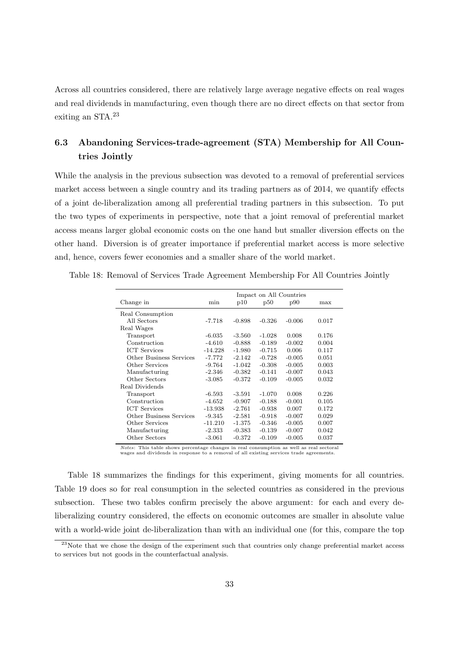Across all countries considered, there are relatively large average negative effects on real wages and real dividends in manufacturing, even though there are no direct effects on that sector from exiting an STA.<sup>23</sup>

## **6.3 Abandoning Services-trade-agreement (STA) Membership for All Countries Jointly**

While the analysis in the previous subsection was devoted to a removal of preferential services market access between a single country and its trading partners as of 2014, we quantify effects of a joint de-liberalization among all preferential trading partners in this subsection. To put the two types of experiments in perspective, note that a joint removal of preferential market access means larger global economic costs on the one hand but smaller diversion effects on the other hand. Diversion is of greater importance if preferential market access is more selective and, hence, covers fewer economies and a smaller share of the world market.

Table 18: Removal of Services Trade Agreement Membership For All Countries Jointly

|                         | Impact on All Countries |          |          |          |       |  |  |  |
|-------------------------|-------------------------|----------|----------|----------|-------|--|--|--|
| Change in               | min                     | p10      | p50      | p90      | max   |  |  |  |
| Real Consumption        |                         |          |          |          |       |  |  |  |
| All Sectors             | $-7.718$                | $-0.898$ | $-0.326$ | $-0.006$ | 0.017 |  |  |  |
| Real Wages              |                         |          |          |          |       |  |  |  |
| Transport               | $-6.035$                | $-3.560$ | $-1.028$ | 0.008    | 0.176 |  |  |  |
| Construction            | $-4.610$                | $-0.888$ | $-0.189$ | $-0.002$ | 0.004 |  |  |  |
| <b>ICT</b> Services     | $-14.228$               | $-1.980$ | $-0.715$ | 0.006    | 0.117 |  |  |  |
| Other Business Services | $-7.772$                | $-2.142$ | $-0.728$ | $-0.005$ | 0.051 |  |  |  |
| Other Services          | $-9.764$                | $-1.042$ | $-0.308$ | $-0.005$ | 0.003 |  |  |  |
| Manufacturing           | $-2.346$                | $-0.382$ | $-0.141$ | $-0.007$ | 0.043 |  |  |  |
| Other Sectors           | $-3.085$                | $-0.372$ | $-0.109$ | $-0.005$ | 0.032 |  |  |  |
| Real Dividends          |                         |          |          |          |       |  |  |  |
| Transport               | $-6.593$                | $-3.591$ | $-1.070$ | 0.008    | 0.226 |  |  |  |
| Construction            | $-4.652$                | $-0.907$ | $-0.188$ | $-0.001$ | 0.105 |  |  |  |
| <b>ICT</b> Services     | $-13.938$               | $-2.761$ | $-0.938$ | 0.007    | 0.172 |  |  |  |
| Other Business Services | $-9.345$                | $-2.581$ | $-0.918$ | $-0.007$ | 0.029 |  |  |  |
| Other Services          | $-11.210$               | $-1.375$ | $-0.346$ | $-0.005$ | 0.007 |  |  |  |
| Manufacturing           | $-2.333$                | $-0.383$ | $-0.139$ | $-0.007$ | 0.042 |  |  |  |
| Other Sectors           | $-3.061$                | $-0.372$ | $-0.109$ | $-0.005$ | 0.037 |  |  |  |
|                         |                         |          |          |          |       |  |  |  |

*Notes*: This table shows percentage changes in real consumption as well as real sectoral wages and dividends in response to a removal of all existing services trade agreements.

Table 18 summarizes the findings for this experiment, giving moments for all countries. Table 19 does so for real consumption in the selected countries as considered in the previous subsection. These two tables confirm precisely the above argument: for each and every deliberalizing country considered, the effects on economic outcomes are smaller in absolute value with a world-wide joint de-liberalization than with an individual one (for this, compare the top

 $^{23}$ Note that we chose the design of the experiment such that countries only change preferential market access to services but not goods in the counterfactual analysis.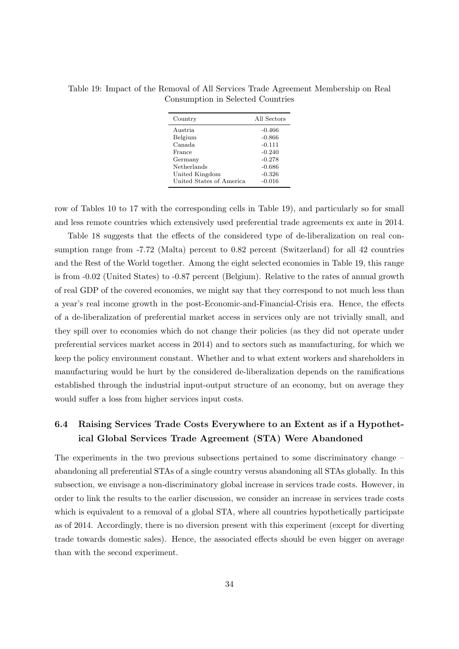Table 19: Impact of the Removal of All Services Trade Agreement Membership on Real Consumption in Selected Countries

| Country                  | All Sectors |
|--------------------------|-------------|
| Austria                  | $-0.466$    |
| Belgium                  | $-0.866$    |
| Canada                   | $-0.111$    |
| France                   | $-0.240$    |
| Germany                  | $-0.278$    |
| Netherlands              | $-0.686$    |
| United Kingdom           | $-0.326$    |
| United States of America | $-0.016$    |

row of Tables 10 to 17 with the corresponding cells in Table 19), and particularly so for small and less remote countries which extensively used preferential trade agreements ex ante in 2014.

Table 18 suggests that the effects of the considered type of de-liberalization on real consumption range from  $-7.72$  (Malta) percent to 0.82 percent (Switzerland) for all 42 countries and the Rest of the World together. Among the eight selected economies in Table 19, this range is from -0.02 (United States) to -0.87 percent (Belgium). Relative to the rates of annual growth of real GDP of the covered economies, we might say that they correspond to not much less than a year's real income growth in the post-Economic-and-Financial-Crisis era. Hence, the effects of a de-liberalization of preferential market access in services only are not trivially small, and they spill over to economies which do not change their policies (as they did not operate under preferential services market access in 2014) and to sectors such as manufacturing, for which we keep the policy environment constant. Whether and to what extent workers and shareholders in manufacturing would be hurt by the considered de-liberalization depends on the ramifications established through the industrial input-output structure of an economy, but on average they would suffer a loss from higher services input costs.

## **6.4 Raising Services Trade Costs Everywhere to an Extent as if a Hypothetical Global Services Trade Agreement (STA) Were Abandoned**

The experiments in the two previous subsections pertained to some discriminatory change – abandoning all preferential STAs of a single country versus abandoning all STAs globally. In this subsection, we envisage a non-discriminatory global increase in services trade costs. However, in order to link the results to the earlier discussion, we consider an increase in services trade costs which is equivalent to a removal of a global STA, where all countries hypothetically participate as of 2014. Accordingly, there is no diversion present with this experiment (except for diverting trade towards domestic sales). Hence, the associated effects should be even bigger on average than with the second experiment.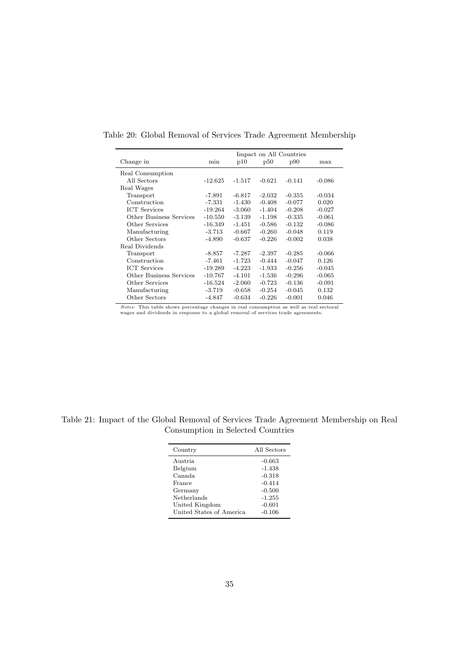|                                | Impact on All Countries |          |          |          |          |  |  |  |  |
|--------------------------------|-------------------------|----------|----------|----------|----------|--|--|--|--|
| Change in                      | min                     | p10      | p50      | p90      | max      |  |  |  |  |
| Real Consumption               |                         |          |          |          |          |  |  |  |  |
| All Sectors                    | $-12.625$               | $-1.517$ | $-0.621$ | $-0.141$ | $-0.086$ |  |  |  |  |
| Real Wages                     |                         |          |          |          |          |  |  |  |  |
| Transport                      | -7.891                  | $-6.817$ | $-2.032$ | $-0.355$ | $-0.034$ |  |  |  |  |
| Construction                   | $-7.331$                | $-1.430$ | $-0.408$ | $-0.077$ | 0.020    |  |  |  |  |
| <b>ICT</b> Services            | $-19.264$               | $-3.060$ | $-1.404$ | $-0.208$ | $-0.027$ |  |  |  |  |
| <b>Other Business Services</b> | $-10.550$               | $-3.139$ | $-1.198$ | $-0.335$ | $-0.061$ |  |  |  |  |
| Other Services                 | -16.349                 | $-1.451$ | $-0.586$ | $-0.132$ | $-0.086$ |  |  |  |  |
| Manufacturing                  | $-3.713$                | $-0.667$ | $-0.260$ | $-0.048$ | 0.119    |  |  |  |  |
| Other Sectors                  | $-4.890$                | $-0.637$ | $-0.226$ | $-0.002$ | 0.038    |  |  |  |  |
| Real Dividends                 |                         |          |          |          |          |  |  |  |  |
| Transport                      | $-8.857$                | $-7.287$ | $-2.397$ | $-0.285$ | $-0.066$ |  |  |  |  |
| Construction                   | -7.461                  | $-1.723$ | $-0.444$ | $-0.047$ | 0.126    |  |  |  |  |
| <b>ICT</b> Services            | $-19.289$               | $-4.223$ | $-1.933$ | $-0.256$ | $-0.045$ |  |  |  |  |
| Other Business Services        | $-10.767$               | $-4.101$ | $-1.536$ | $-0.296$ | $-0.065$ |  |  |  |  |
| Other Services                 | $-16.524$               | $-2.060$ | $-0.723$ | $-0.136$ | $-0.091$ |  |  |  |  |
| Manufacturing                  | $-3.719$                | $-0.658$ | $-0.254$ | $-0.045$ | 0.132    |  |  |  |  |
| Other Sectors                  | $-4.847$                | $-0.634$ | $-0.226$ | $-0.001$ | 0.046    |  |  |  |  |

Table 20: Global Removal of Services Trade Agreement Membership

*Notes*: This table shows percentage changes in real consumption as well as real sectoral wages and dividends in response to a global removal of services trade agreements.

Table 21: Impact of the Global Removal of Services Trade Agreement Membership on Real Consumption in Selected Countries

| Country                  | All Sectors |
|--------------------------|-------------|
| Austria                  | $-0.663$    |
| Belgium                  | $-1.438$    |
| Canada                   | $-0.318$    |
| France                   | $-0.414$    |
| Germany                  | $-0.500$    |
| Netherlands              | $-1.255$    |
| United Kingdom           | $-0.601$    |
| United States of America | $-0.106$    |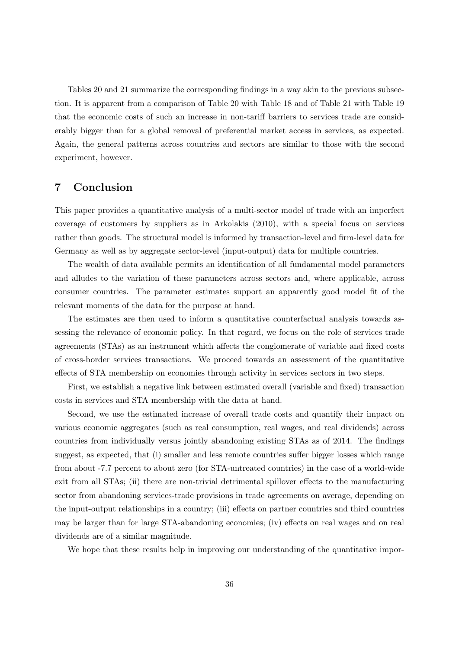Tables 20 and 21 summarize the corresponding findings in a way akin to the previous subsection. It is apparent from a comparison of Table 20 with Table 18 and of Table 21 with Table 19 that the economic costs of such an increase in non-tariff barriers to services trade are considerably bigger than for a global removal of preferential market access in services, as expected. Again, the general patterns across countries and sectors are similar to those with the second experiment, however.

## **7 Conclusion**

This paper provides a quantitative analysis of a multi-sector model of trade with an imperfect coverage of customers by suppliers as in Arkolakis (2010), with a special focus on services rather than goods. The structural model is informed by transaction-level and firm-level data for Germany as well as by aggregate sector-level (input-output) data for multiple countries.

The wealth of data available permits an identification of all fundamental model parameters and alludes to the variation of these parameters across sectors and, where applicable, across consumer countries. The parameter estimates support an apparently good model fit of the relevant moments of the data for the purpose at hand.

The estimates are then used to inform a quantitative counterfactual analysis towards assessing the relevance of economic policy. In that regard, we focus on the role of services trade agreements (STAs) as an instrument which affects the conglomerate of variable and fixed costs of cross-border services transactions. We proceed towards an assessment of the quantitative effects of STA membership on economies through activity in services sectors in two steps.

First, we establish a negative link between estimated overall (variable and fixed) transaction costs in services and STA membership with the data at hand.

Second, we use the estimated increase of overall trade costs and quantify their impact on various economic aggregates (such as real consumption, real wages, and real dividends) across countries from individually versus jointly abandoning existing STAs as of 2014. The findings suggest, as expected, that (i) smaller and less remote countries suffer bigger losses which range from about -7.7 percent to about zero (for STA-untreated countries) in the case of a world-wide exit from all STAs; (ii) there are non-trivial detrimental spillover effects to the manufacturing sector from abandoning services-trade provisions in trade agreements on average, depending on the input-output relationships in a country; (iii) effects on partner countries and third countries may be larger than for large STA-abandoning economies; (iv) effects on real wages and on real dividends are of a similar magnitude.

We hope that these results help in improving our understanding of the quantitative impor-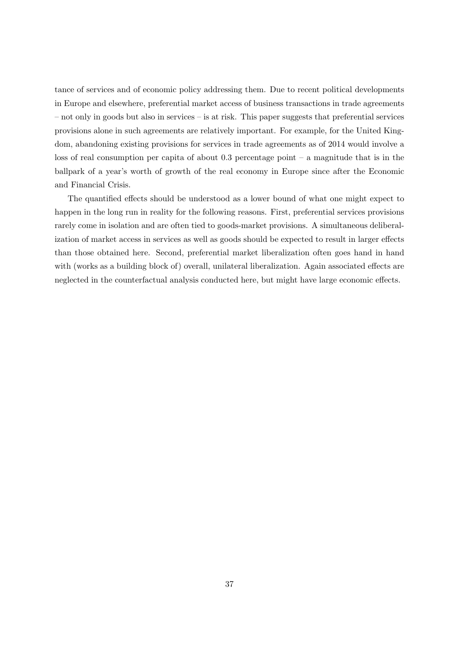tance of services and of economic policy addressing them. Due to recent political developments in Europe and elsewhere, preferential market access of business transactions in trade agreements – not only in goods but also in services – is at risk. This paper suggests that preferential services provisions alone in such agreements are relatively important. For example, for the United Kingdom, abandoning existing provisions for services in trade agreements as of 2014 would involve a loss of real consumption per capita of about  $0.3$  percentage point – a magnitude that is in the ballpark of a year's worth of growth of the real economy in Europe since after the Economic and Financial Crisis.

The quantified effects should be understood as a lower bound of what one might expect to happen in the long run in reality for the following reasons. First, preferential services provisions rarely come in isolation and are often tied to goods-market provisions. A simultaneous deliberalization of market access in services as well as goods should be expected to result in larger effects than those obtained here. Second, preferential market liberalization often goes hand in hand with (works as a building block of) overall, unilateral liberalization. Again associated effects are neglected in the counterfactual analysis conducted here, but might have large economic effects.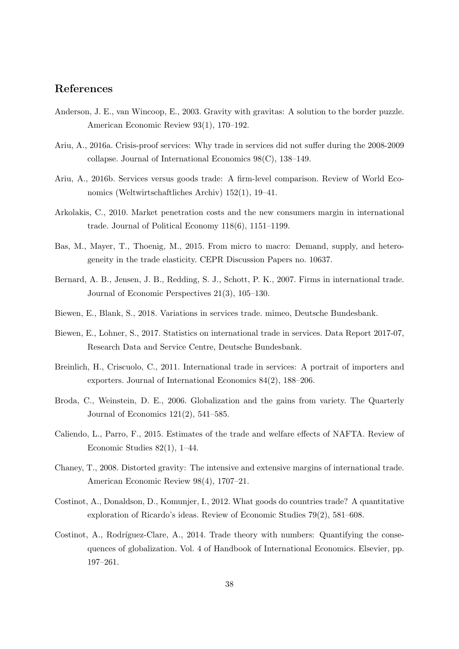## **References**

- Anderson, J. E., van Wincoop, E., 2003. Gravity with gravitas: A solution to the border puzzle. American Economic Review 93(1), 170–192.
- Ariu, A., 2016a. Crisis-proof services: Why trade in services did not suffer during the 2008-2009 collapse. Journal of International Economics 98(C), 138–149.
- Ariu, A., 2016b. Services versus goods trade: A firm-level comparison. Review of World Economics (Weltwirtschaftliches Archiv) 152(1), 19–41.
- Arkolakis, C., 2010. Market penetration costs and the new consumers margin in international trade. Journal of Political Economy 118(6), 1151–1199.
- Bas, M., Mayer, T., Thoenig, M., 2015. From micro to macro: Demand, supply, and heterogeneity in the trade elasticity. CEPR Discussion Papers no. 10637.
- Bernard, A. B., Jensen, J. B., Redding, S. J., Schott, P. K., 2007. Firms in international trade. Journal of Economic Perspectives 21(3), 105–130.
- Biewen, E., Blank, S., 2018. Variations in services trade. mimeo, Deutsche Bundesbank.
- Biewen, E., Lohner, S., 2017. Statistics on international trade in services. Data Report 2017-07, Research Data and Service Centre, Deutsche Bundesbank.
- Breinlich, H., Criscuolo, C., 2011. International trade in services: A portrait of importers and exporters. Journal of International Economics 84(2), 188–206.
- Broda, C., Weinstein, D. E., 2006. Globalization and the gains from variety. The Quarterly Journal of Economics 121(2), 541–585.
- Caliendo, L., Parro, F., 2015. Estimates of the trade and welfare effects of NAFTA. Review of Economic Studies 82(1), 1–44.
- Chaney, T., 2008. Distorted gravity: The intensive and extensive margins of international trade. American Economic Review 98(4), 1707–21.
- Costinot, A., Donaldson, D., Komunjer, I., 2012. What goods do countries trade? A quantitative exploration of Ricardo's ideas. Review of Economic Studies 79(2), 581–608.
- Costinot, A., Rodríguez-Clare, A., 2014. Trade theory with numbers: Quantifying the consequences of globalization. Vol. 4 of Handbook of International Economics. Elsevier, pp. 197–261.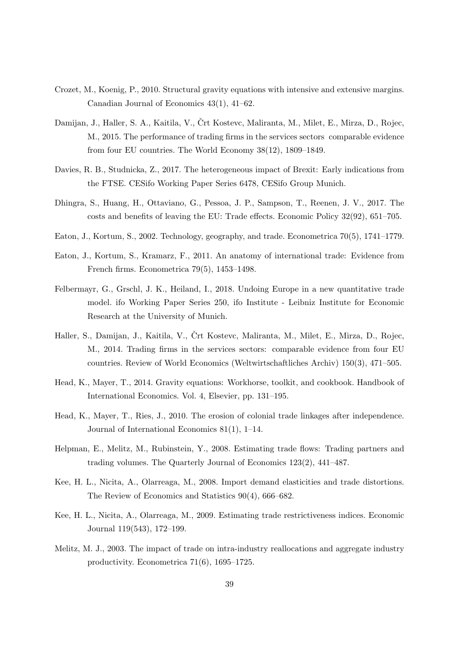- Crozet, M., Koenig, P., 2010. Structural gravity equations with intensive and extensive margins. Canadian Journal of Economics 43(1), 41–62.
- Damijan, J., Haller, S. A., Kaitila, V., Črt Kostevc, Maliranta, M., Milet, E., Mirza, D., Rojec, M., 2015. The performance of trading firms in the services sectors comparable evidence from four EU countries. The World Economy 38(12), 1809–1849.
- Davies, R. B., Studnicka, Z., 2017. The heterogeneous impact of Brexit: Early indications from the FTSE. CESifo Working Paper Series 6478, CESifo Group Munich.
- Dhingra, S., Huang, H., Ottaviano, G., Pessoa, J. P., Sampson, T., Reenen, J. V., 2017. The costs and benefits of leaving the EU: Trade effects. Economic Policy 32(92), 651–705.
- Eaton, J., Kortum, S., 2002. Technology, geography, and trade. Econometrica 70(5), 1741–1779.
- Eaton, J., Kortum, S., Kramarz, F., 2011. An anatomy of international trade: Evidence from French firms. Econometrica 79(5), 1453–1498.
- Felbermayr, G., Grschl, J. K., Heiland, I., 2018. Undoing Europe in a new quantitative trade model. ifo Working Paper Series 250, ifo Institute - Leibniz Institute for Economic Research at the University of Munich.
- Haller, S., Damijan, J., Kaitila, V., Črt Kostevc, Maliranta, M., Milet, E., Mirza, D., Rojec, M., 2014. Trading firms in the services sectors: comparable evidence from four EU countries. Review of World Economics (Weltwirtschaftliches Archiv) 150(3), 471–505.
- Head, K., Mayer, T., 2014. Gravity equations: Workhorse, toolkit, and cookbook. Handbook of International Economics. Vol. 4, Elsevier, pp. 131–195.
- Head, K., Mayer, T., Ries, J., 2010. The erosion of colonial trade linkages after independence. Journal of International Economics 81(1), 1–14.
- Helpman, E., Melitz, M., Rubinstein, Y., 2008. Estimating trade flows: Trading partners and trading volumes. The Quarterly Journal of Economics 123(2), 441–487.
- Kee, H. L., Nicita, A., Olarreaga, M., 2008. Import demand elasticities and trade distortions. The Review of Economics and Statistics 90(4), 666–682.
- Kee, H. L., Nicita, A., Olarreaga, M., 2009. Estimating trade restrictiveness indices. Economic Journal 119(543), 172–199.
- Melitz, M. J., 2003. The impact of trade on intra-industry reallocations and aggregate industry productivity. Econometrica 71(6), 1695–1725.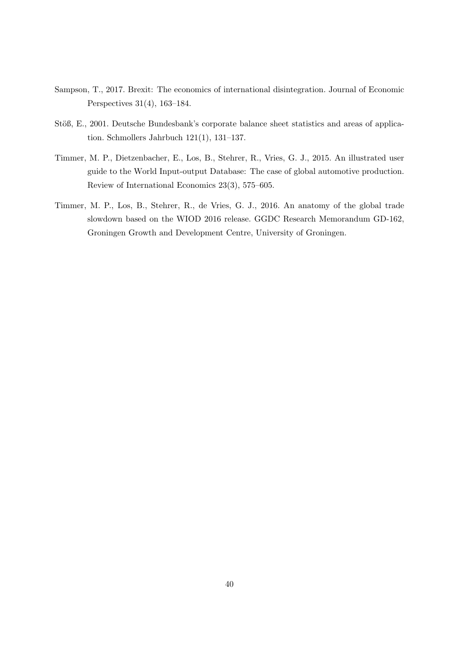- Sampson, T., 2017. Brexit: The economics of international disintegration. Journal of Economic Perspectives 31(4), 163–184.
- Stöß, E., 2001. Deutsche Bundesbank's corporate balance sheet statistics and areas of application. Schmollers Jahrbuch 121(1), 131–137.
- Timmer, M. P., Dietzenbacher, E., Los, B., Stehrer, R., Vries, G. J., 2015. An illustrated user guide to the World Input-output Database: The case of global automotive production. Review of International Economics 23(3), 575–605.
- Timmer, M. P., Los, B., Stehrer, R., de Vries, G. J., 2016. An anatomy of the global trade slowdown based on the WIOD 2016 release. GGDC Research Memorandum GD-162, Groningen Growth and Development Centre, University of Groningen.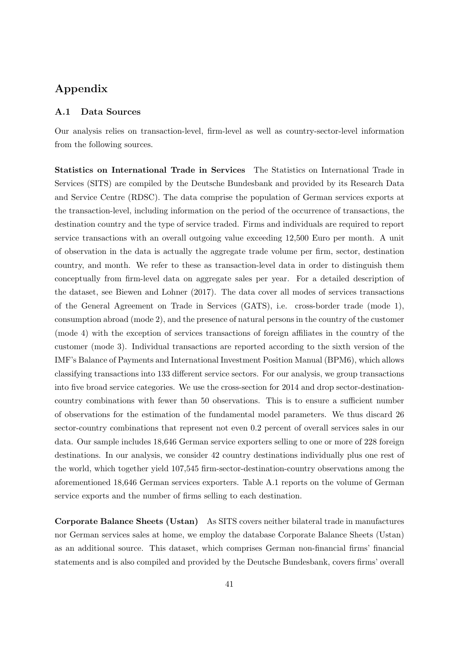## **Appendix**

#### **A.1 Data Sources**

Our analysis relies on transaction-level, firm-level as well as country-sector-level information from the following sources.

**Statistics on International Trade in Services** The Statistics on International Trade in Services (SITS) are compiled by the Deutsche Bundesbank and provided by its Research Data and Service Centre (RDSC). The data comprise the population of German services exports at the transaction-level, including information on the period of the occurrence of transactions, the destination country and the type of service traded. Firms and individuals are required to report service transactions with an overall outgoing value exceeding 12,500 Euro per month. A unit of observation in the data is actually the aggregate trade volume per firm, sector, destination country, and month. We refer to these as transaction-level data in order to distinguish them conceptually from firm-level data on aggregate sales per year. For a detailed description of the dataset, see Biewen and Lohner (2017). The data cover all modes of services transactions of the General Agreement on Trade in Services (GATS), i.e. cross-border trade (mode 1), consumption abroad (mode 2), and the presence of natural persons in the country of the customer (mode 4) with the exception of services transactions of foreign affiliates in the country of the customer (mode 3). Individual transactions are reported according to the sixth version of the IMF's Balance of Payments and International Investment Position Manual (BPM6), which allows classifying transactions into 133 different service sectors. For our analysis, we group transactions into five broad service categories. We use the cross-section for 2014 and drop sector-destinationcountry combinations with fewer than 50 observations. This is to ensure a sufficient number of observations for the estimation of the fundamental model parameters. We thus discard 26 sector-country combinations that represent not even 0.2 percent of overall services sales in our data. Our sample includes 18,646 German service exporters selling to one or more of 228 foreign destinations. In our analysis, we consider 42 country destinations individually plus one rest of the world, which together yield 107,545 firm-sector-destination-country observations among the aforementioned 18,646 German services exporters. Table A.1 reports on the volume of German service exports and the number of firms selling to each destination.

**Corporate Balance Sheets (Ustan)** As SITS covers neither bilateral trade in manufactures nor German services sales at home, we employ the database Corporate Balance Sheets (Ustan) as an additional source. This dataset, which comprises German non-financial firms' financial statements and is also compiled and provided by the Deutsche Bundesbank, covers firms' overall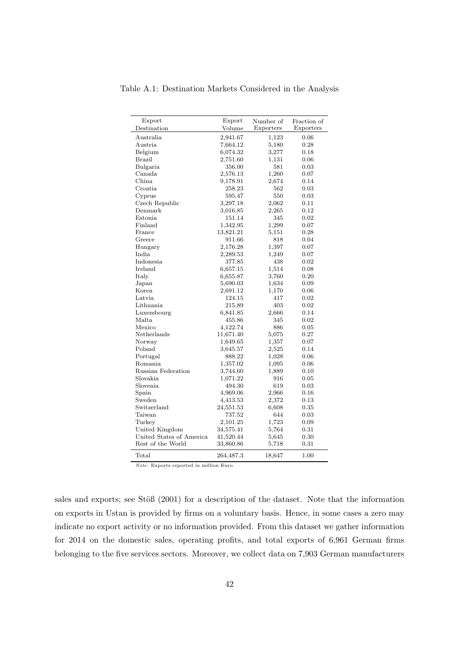| Export                   | Export    | Number of | Fraction of |
|--------------------------|-----------|-----------|-------------|
| Destination              | Volume    | Exporters | Exporters   |
| Australia                | 2,941.67  | 1,123     | 0.06        |
| Austria                  | 7,664.12  | 5,180     | 0.28        |
| Belgium                  | 6,074.32  | 3,277     | 0.18        |
| Brazil                   | 2,751.60  | 1,131     | 0.06        |
| Bulgaria                 | 356.00    | 581       | 0.03        |
| Canada                   | 2,576.13  | 1,260     | 0.07        |
| China                    | 9,178.91  | 2,674     | 0.14        |
| Croatia                  | 258.23    | 562       | 0.03        |
| Cyprus                   | 595.47    | 550       | 0.03        |
| Czech Republic           | 3,297.18  | 2,062     | 0.11        |
| Denmark                  | 3,016.85  | 2,265     | 0.12        |
| Estonia                  | 151.14    | 345       | 0.02        |
| Finland                  | 1,342.95  | 1,299     | 0.07        |
| France                   | 13,821.21 | 5,151     | 0.28        |
| Greece                   | 911.66    | 818       | 0.04        |
| Hungary                  | 2,176.28  | 1,397     | 0.07        |
| India                    | 2,289.53  | 1,249     | 0.07        |
| Indonesia                | 377.85    | 438       | 0.02        |
| Ireland                  | 6,657.15  | 1,514     | 0.08        |
| Italy                    | 6,655.87  | 3,760     | 0.20        |
| Japan                    | 5,690.03  | 1,634     | 0.09        |
| Korea.                   | 2,691.12  | 1,170     | 0.06        |
| Latvia                   | 124.15    | 417       | 0.02        |
| Lithuania                | 215.89    | 403       | 0.02        |
| Luxembourg               | 6,841.85  | 2,666     | 0.14        |
| Malta                    | 455.86    | 345       | 0.02        |
| Mexico                   | 4,122.74  | 886       | 0.05        |
| Netherlands              | 11,671.40 | 5,075     | 0.27        |
| Norway                   | 1,649.65  | 1,357     | 0.07        |
| Poland                   | 3,645.57  | 2,525     | 0.14        |
| Portugal                 | 888.22    | 1,028     | 0.06        |
| Romania                  | 1,357.02  | 1,095     | 0.06        |
| Russian Federation       | 3,744.60  | 1,889     | 0.10        |
| Slovakia                 | 1,071.22  | 916       | 0.05        |
| Slovenia                 | 494.30    | 619       | 0.03        |
| Spain                    | 4,969.06  | 2,966     | 0.16        |
| Sweden                   | 4,413.53  | 2,372     | 0.13        |
| Switzerland              | 24,551.53 | 6,608     | 0.35        |
| Taiwan                   | 737.52    | 644       | 0.03        |
| Turkey                   | 2,101.25  | 1,723     | 0.09        |
| United Kingdom           | 34,575.41 | 5,764     | 0.31        |
| United States of America | 41,520.44 | 5,645     | 0.30        |
| Rest of the World        | 33,860.86 | 5,718     | 0.31        |
| Total                    | 264,487.3 | 18,647    | 1.00        |

Table A.1: Destination Markets Considered in the Analysis

*Note*: Exports reported in million Euro.

sales and exports; see Stöß (2001) for a description of the dataset. Note that the information on exports in Ustan is provided by firms on a voluntary basis. Hence, in some cases a zero may indicate no export activity or no information provided. From this dataset we gather information for 2014 on the domestic sales, operating profits, and total exports of 6,961 German firms belonging to the five services sectors. Moreover, we collect data on 7,903 German manufacturers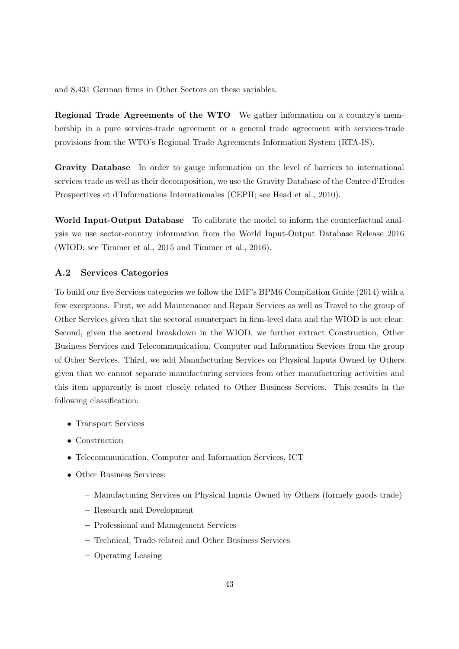and 8,431 German firms in Other Sectors on these variables.

**Regional Trade Agreements of the WTO** We gather information on a country's membership in a pure services-trade agreement or a general trade agreement with services-trade provisions from the WTO's Regional Trade Agreements Information System (RTA-IS).

**Gravity Database** In order to gauge information on the level of barriers to international services trade as well as their decomposition, we use the Gravity Database of the Centre d'Etudes Prospectives et d'Informations Internationales (CEPII; see Head et al., 2010).

**World Input-Output Database** To calibrate the model to inform the counterfactual analysis we use sector-country information from the World Input-Output Database Release 2016 (WIOD; see Timmer et al., 2015 and Timmer et al., 2016).

#### **A.2 Services Categories**

To build our five Services categories we follow the IMF's BPM6 Compilation Guide (2014) with a few exceptions. First, we add Maintenance and Repair Services as well as Travel to the group of Other Services given that the sectoral counterpart in firm-level data and the WIOD is not clear. Second, given the sectoral breakdown in the WIOD, we further extract Construction, Other Business Services and Telecommunication, Computer and Information Services from the group of Other Services. Third, we add Manufacturing Services on Physical Inputs Owned by Others given that we cannot separate manufacturing services from other manufacturing activities and this item apparently is most closely related to Other Business Services. This results in the following classification:

- *•* Transport Services
- *•* Construction
- Telecommunication, Computer and Information Services, ICT
- *•* Other Business Services:
	- **–** Manufacturing Services on Physical Inputs Owned by Others (formely goods trade)
	- **–** Research and Development
	- **–** Professional and Management Services
	- **–** Technical, Trade-related and Other Business Services
	- **–** Operating Leasing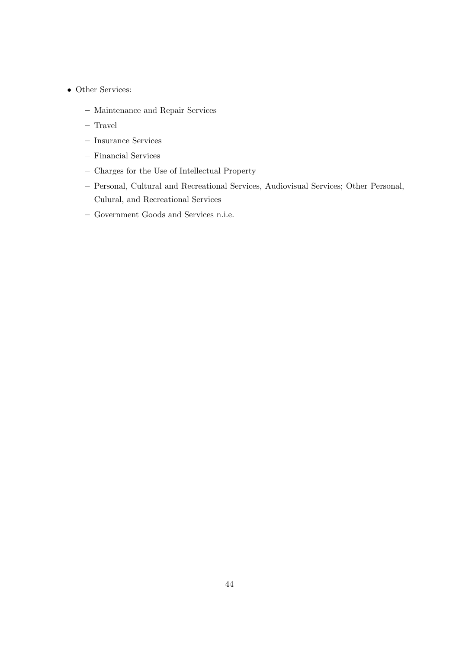- *•* Other Services:
	- **–** Maintenance and Repair Services
	- **–** Travel
	- **–** Insurance Services
	- **–** Financial Services
	- **–** Charges for the Use of Intellectual Property
	- **–** Personal, Cultural and Recreational Services, Audiovisual Services; Other Personal, Culural, and Recreational Services
	- **–** Government Goods and Services n.i.e.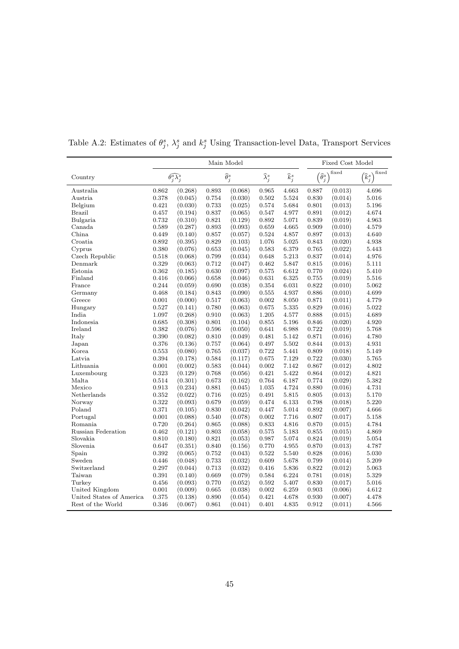|                          | Main Model |                                    |       |                            |                             |                   |                             | Fixed Cost Model |                            |  |  |
|--------------------------|------------|------------------------------------|-------|----------------------------|-----------------------------|-------------------|-----------------------------|------------------|----------------------------|--|--|
| Country                  |            | $\widehat{\theta_i^s \lambda_j^s}$ |       | $\widehat{\theta}_{j}^{s}$ | $\widehat{\lambda}_{j}^{s}$ | $\widehat{k}_j^s$ | $\widehat{\theta}^s_i$<br>j | fixed            | fixed<br>$\widehat{k}^s_j$ |  |  |
| Australia                | 0.862      | (0.268)                            | 0.893 | (0.068)                    | 0.965                       | 4.663             | 0.887                       | (0.013)          | 4.696                      |  |  |
| Austria                  | 0.378      | (0.045)                            | 0.754 | (0.030)                    | 0.502                       | 5.524             | 0.830                       | (0.014)          | 5.016                      |  |  |
| Belgium                  | 0.421      | (0.030)                            | 0.733 | (0.025)                    | 0.574                       | 5.684             | 0.801                       | (0.013)          | 5.196                      |  |  |
| <b>Brazil</b>            | 0.457      | (0.194)                            | 0.837 | (0.065)                    | 0.547                       | 4.977             | 0.891                       | (0.012)          | 4.674                      |  |  |
| Bulgaria                 | 0.732      | (0.310)                            | 0.821 | (0.129)                    | 0.892                       | 5.071             | 0.839                       | (0.019)          | 4.963                      |  |  |
| Canada                   | 0.589      | (0.287)                            | 0.893 | (0.093)                    | 0.659                       | 4.665             | 0.909                       | (0.010)          | 4.579                      |  |  |
| China.                   | 0.449      | (0.140)                            | 0.857 | (0.057)                    | 0.524                       | 4.857             | 0.897                       | (0.013)          | 4.640                      |  |  |
| Croatia                  | 0.892      | (0.395)                            | 0.829 | (0.103)                    | 1.076                       | 5.025             | 0.843                       | (0.020)          | 4.938                      |  |  |
| Cyprus                   | 0.380      | (0.076)                            | 0.653 | (0.045)                    | 0.583                       | 6.379             | 0.765                       | (0.022)          | 5.443                      |  |  |
| Czech Republic           | 0.518      | (0.068)                            | 0.799 | (0.034)                    | 0.648                       | $5.213\,$         | 0.837                       | (0.014)          | 4.976                      |  |  |
| Denmark                  | 0.329      | (0.063)                            | 0.712 | (0.047)                    | 0.462                       | 5.847             | 0.815                       | (0.016)          | 5.111                      |  |  |
| Estonia                  | 0.362      | (0.185)                            | 0.630 | (0.097)                    | 0.575                       | 6.612             | 0.770                       | (0.024)          | 5.410                      |  |  |
| Finland                  | 0.416      | (0.066)                            | 0.658 | (0.046)                    | 0.631                       | 6.325             | 0.755                       | (0.019)          | 5.516                      |  |  |
| France                   | 0.244      | (0.059)                            | 0.690 | (0.038)                    | 0.354                       | 6.031             | 0.822                       | (0.010)          | 5.062                      |  |  |
| Germany                  | 0.468      | (0.184)                            | 0.843 | (0.090)                    | 0.555                       | 4.937             | 0.886                       | (0.010)          | 4.699                      |  |  |
| Greece                   | 0.001      | (0.000)                            | 0.517 | (0.063)                    | 0.002                       | 8.050             | 0.871                       | (0.011)          | 4.779                      |  |  |
| Hungary                  | 0.527      | (0.141)                            | 0.780 | (0.063)                    | 0.675                       | 5.335             | 0.829                       | (0.016)          | 5.022                      |  |  |
| India                    | 1.097      | (0.268)                            | 0.910 | (0.063)                    | 1.205                       | 4.577             | 0.888                       | (0.015)          | 4.689                      |  |  |
| Indonesia                | 0.685      | (0.308)                            | 0.801 | (0.104)                    | 0.855                       | 5.196             | 0.846                       | (0.020)          | 4.920                      |  |  |
| Ireland                  | 0.382      | (0.076)                            | 0.596 | (0.050)                    | 0.641                       | 6.988             | 0.722                       | (0.019)          | 5.768                      |  |  |
| Italy                    | 0.390      | (0.082)                            | 0.810 | (0.049)                    | 0.481                       | 5.142             | 0.871                       | (0.016)          | 4.780                      |  |  |
| Japan                    | 0.376      | (0.136)                            | 0.757 | (0.064)                    | 0.497                       | 5.502             | 0.844                       | (0.013)          | 4.931                      |  |  |
| Korea                    | 0.553      | (0.080)                            | 0.765 | (0.037)                    | 0.722                       | 5.441             | 0.809                       | (0.018)          | 5.149                      |  |  |
| Latvia                   | 0.394      | (0.178)                            | 0.584 | (0.117)                    | 0.675                       | 7.129             | 0.722                       | (0.030)          | 5.765                      |  |  |
| Lithuania                | 0.001      | (0.002)                            | 0.583 | (0.044)                    | 0.002                       | 7.142             | 0.867                       | (0.012)          | 4.802                      |  |  |
| Luxembourg               | 0.323      | (0.129)                            | 0.768 | (0.056)                    | 0.421                       | 5.422             | 0.864                       | (0.012)          | 4.821                      |  |  |
| Malta                    | 0.514      | (0.301)                            | 0.673 | (0.162)                    | 0.764                       | 6.187             | 0.774                       | (0.029)          | 5.382                      |  |  |
| Mexico                   | 0.913      | (0.234)                            | 0.881 | (0.045)                    | 1.035                       | 4.724             | 0.880                       | (0.016)          | 4.731                      |  |  |
| Netherlands              | 0.352      | (0.022)                            | 0.716 | (0.025)                    | 0.491                       | 5.815             | 0.805                       | (0.013)          | 5.170                      |  |  |
| Norway                   | 0.322      | (0.093)                            | 0.679 | (0.059)                    | 0.474                       | 6.133             | 0.798                       | (0.018)          | 5.220                      |  |  |
| Poland                   | 0.371      | (0.105)                            | 0.830 | (0.042)                    | 0.447                       | 5.014             | 0.892                       | (0.007)          | 4.666                      |  |  |
| Portugal                 | 0.001      | (0.088)                            | 0.540 | (0.078)                    | 0.002                       | 7.716             | 0.807                       | (0.017)          | 5.158                      |  |  |
| Romania                  | 0.720      | (0.264)                            | 0.865 | (0.088)                    | 0.833                       | 4.816             | 0.870                       | (0.015)          | 4.784                      |  |  |
| Russian Federation       | 0.462      | (0.121)                            | 0.803 | (0.058)                    | 0.575                       | 5.183             | 0.855                       | (0.015)          | 4.869                      |  |  |
| Slovakia                 | 0.810      | (0.180)                            | 0.821 | (0.053)                    | 0.987                       | 5.074             | 0.824                       | (0.019)          | 5.054                      |  |  |
| Slovenia                 | 0.647      | (0.351)                            | 0.840 | (0.156)                    | 0.770                       | 4.955             | 0.870                       | (0.013)          | 4.787                      |  |  |
| Spain                    | 0.392      | (0.065)                            | 0.752 | (0.043)                    | 0.522                       | 5.540             | 0.828                       | (0.016)          | 5.030                      |  |  |
| Sweden                   | 0.446      | (0.048)                            | 0.733 | (0.032)                    | 0.609                       | 5.678             | 0.799                       | (0.014)          | 5.209                      |  |  |
| Switzerland              | 0.297      | (0.044)                            | 0.713 | (0.032)                    | 0.416                       | 5.836             | 0.822                       | (0.012)          | 5.063                      |  |  |
| Taiwan                   | 0.391      | (0.140)                            | 0.669 | (0.079)                    | 0.584                       | 6.224             | 0.781                       | (0.018)          | 5.329                      |  |  |
| Turkey                   | 0.456      | (0.093)                            | 0.770 | (0.052)                    | 0.592                       | 5.407             | 0.830                       | (0.017)          | 5.016                      |  |  |
| United Kingdom           | 0.001      | (0.009)                            | 0.665 | (0.038)                    | 0.002                       | 6.259             | 0.903                       | (0.006)          | 4.612                      |  |  |
| United States of America | 0.375      | (0.138)                            | 0.890 | (0.054)                    | 0.421                       | 4.678             | 0.930                       | (0.007)          | 4.478                      |  |  |
| Rest of the World        | 0.346      | (0.067)                            | 0.861 | (0.041)                    | 0.401                       | 4.835             | 0.912                       | (0.011)          | 4.566                      |  |  |

Table A.2: Estimates of  $\theta_j^s$ ,  $\lambda_j^s$  and  $k_j^s$  Using Transaction-level Data, Transport Services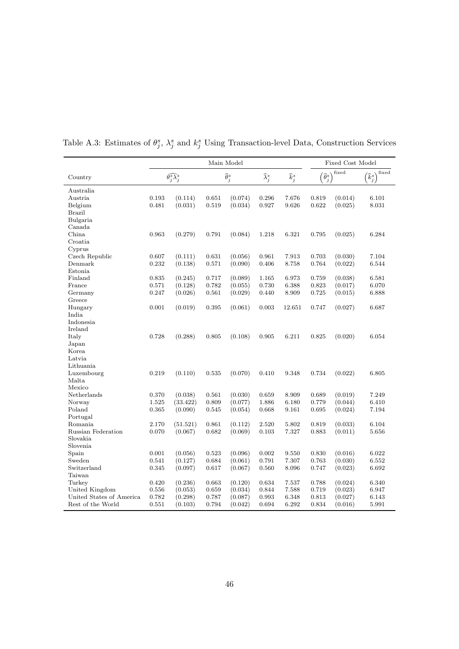|                          | Main Model |                                    |       |                            |                             |                   | Fixed Cost Model       |         |                                         |  |
|--------------------------|------------|------------------------------------|-------|----------------------------|-----------------------------|-------------------|------------------------|---------|-----------------------------------------|--|
| Country                  |            | $\widehat{\theta_i^s \lambda_i^s}$ |       | $\widehat{\theta}_{j}^{s}$ | $\widehat{\lambda}_{j}^{s}$ | $\widehat{k}_j^s$ | $\widehat{\theta}_j^s$ | fixed   | fixed<br>$\left[\widehat{k}^s_j\right]$ |  |
| Australia                |            |                                    |       |                            |                             |                   |                        |         |                                         |  |
| Austria                  | 0.193      | (0.114)                            | 0.651 | (0.074)                    | 0.296                       | 7.676             | 0.819                  | (0.014) | 6.101                                   |  |
| Belgium                  | 0.481      | (0.031)                            | 0.519 | (0.034)                    | 0.927                       | 9.626             | 0.622                  | (0.025) | 8.031                                   |  |
| <b>Brazil</b>            |            |                                    |       |                            |                             |                   |                        |         |                                         |  |
| Bulgaria                 |            |                                    |       |                            |                             |                   |                        |         |                                         |  |
| Canada                   |            |                                    |       |                            |                             |                   |                        |         |                                         |  |
| China                    | 0.963      | (0.279)                            | 0.791 | (0.084)                    | 1.218                       | 6.321             | 0.795                  | (0.025) | 6.284                                   |  |
| Croatia                  |            |                                    |       |                            |                             |                   |                        |         |                                         |  |
| Cyprus                   |            |                                    |       |                            |                             |                   |                        |         |                                         |  |
| Czech Republic           | 0.607      | (0.111)                            | 0.631 | (0.056)                    | 0.961                       | 7.913             | 0.703                  | (0.030) | 7.104                                   |  |
| Denmark                  | 0.232      | (0.138)                            | 0.571 | (0.090)                    | 0.406                       | 8.758             | 0.764                  | (0.022) | 6.544                                   |  |
| Estonia                  |            |                                    |       |                            |                             |                   |                        |         |                                         |  |
| Finland                  | 0.835      | (0.245)                            | 0.717 | (0.089)                    | 1.165                       | 6.973             | 0.759                  | (0.038) | 6.581                                   |  |
| France                   | 0.571      | (0.128)                            | 0.782 | (0.055)                    | 0.730                       | 6.388             | 0.823                  | (0.017) | 6.070                                   |  |
| Germany                  | 0.247      | (0.026)                            | 0.561 | (0.029)                    | 0.440                       | 8.909             | 0.725                  | (0.015) | 6.888                                   |  |
| Greece                   |            |                                    |       |                            |                             |                   |                        |         |                                         |  |
| Hungary                  | 0.001      | (0.019)                            | 0.395 | (0.061)                    | 0.003                       | 12.651            | 0.747                  | (0.027) | 6.687                                   |  |
| India                    |            |                                    |       |                            |                             |                   |                        |         |                                         |  |
| Indonesia                |            |                                    |       |                            |                             |                   |                        |         |                                         |  |
| Ireland                  |            |                                    |       |                            |                             |                   |                        |         |                                         |  |
| Italy                    | 0.728      | (0.288)                            | 0.805 | (0.108)                    | 0.905                       | 6.211             | 0.825                  | (0.020) | 6.054                                   |  |
| Japan                    |            |                                    |       |                            |                             |                   |                        |         |                                         |  |
| Korea                    |            |                                    |       |                            |                             |                   |                        |         |                                         |  |
| Latvia                   |            |                                    |       |                            |                             |                   |                        |         |                                         |  |
| Lithuania                |            |                                    |       |                            |                             |                   |                        |         |                                         |  |
| Luxembourg               | 0.219      | (0.110)                            | 0.535 | (0.070)                    | 0.410                       | 9.348             | 0.734                  | (0.022) | 6.805                                   |  |
| Malta                    |            |                                    |       |                            |                             |                   |                        |         |                                         |  |
| Mexico                   |            |                                    |       |                            |                             |                   |                        |         |                                         |  |
| Netherlands              | 0.370      | (0.038)                            | 0.561 | (0.030)                    | 0.659                       | 8.909             | 0.689                  | (0.019) | 7.249                                   |  |
| Norway                   | 1.525      | (33.422)                           | 0.809 | (0.077)                    | 1.886                       | 6.180             | 0.779                  | (0.044) | 6.410                                   |  |
| Poland                   | 0.365      | (0.090)                            | 0.545 | (0.054)                    | 0.668                       | 9.161             | 0.695                  | (0.024) | 7.194                                   |  |
| Portugal                 |            |                                    |       |                            |                             |                   |                        |         |                                         |  |
| Romania                  | 2.170      | (51.521)                           | 0.861 | (0.112)                    | 2.520                       | 5.802             | 0.819                  | (0.033) | 6.104                                   |  |
| Russian Federation       | 0.070      | (0.067)                            | 0.682 | (0.069)                    | 0.103                       | 7.327             | 0.883                  | (0.011) | 5.656                                   |  |
| Slovakia                 |            |                                    |       |                            |                             |                   |                        |         |                                         |  |
| Slovenia                 |            |                                    |       |                            |                             |                   |                        |         |                                         |  |
| Spain                    | 0.001      | (0.056)                            | 0.523 | (0.096)                    | 0.002                       | 9.550             | 0.830                  | (0.016) | 6.022                                   |  |
| Sweden                   | 0.541      | (0.127)                            | 0.684 | (0.061)                    | 0.791                       | 7.307             | 0.763                  | (0.030) | 6.552                                   |  |
| Switzerland              | 0.345      | (0.097)                            | 0.617 | (0.067)                    | 0.560                       | 8.096             | 0.747                  | (0.023) | 6.692                                   |  |
| Taiwan                   |            |                                    |       |                            |                             |                   |                        |         |                                         |  |
| Turkey                   | 0.420      | (0.236)                            | 0.663 | (0.120)                    | 0.634                       | 7.537             | 0.788                  | (0.024) | 6.340                                   |  |
| United Kingdom           | 0.556      | (0.053)                            | 0.659 | (0.034)                    | 0.844                       | 7.588             | 0.719                  | (0.023) | 6.947                                   |  |
| United States of America | 0.782      | (0.298)                            | 0.787 | (0.087)                    | 0.993                       | 6.348             | 0.813                  | (0.027) | 6.143                                   |  |
| Rest of the World        | 0.551      | (0.103)                            | 0.794 | (0.042)                    | 0.694                       | 6.292             | 0.834                  | (0.016) | 5.991                                   |  |

Table A.3: Estimates of  $\theta_j^s$ ,  $\lambda_j^s$  and  $k_j^s$  Using Transaction-level Data, Construction Services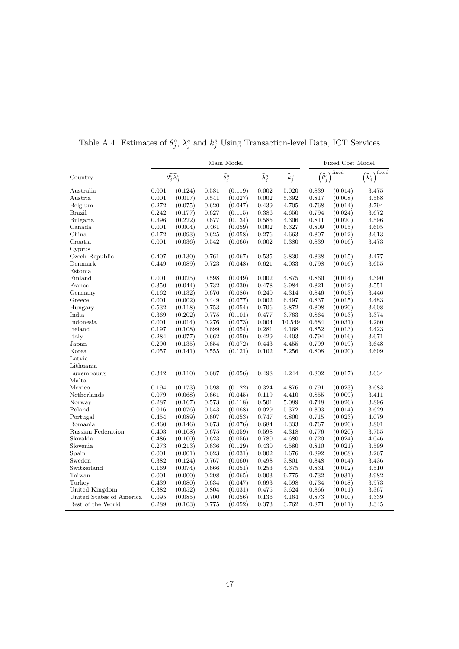|                          | Main Model |                                   |       |                            |                             |                   |                                          | Fixed Cost Model |                            |  |  |
|--------------------------|------------|-----------------------------------|-------|----------------------------|-----------------------------|-------------------|------------------------------------------|------------------|----------------------------|--|--|
| Country                  |            | $\widehat{\theta_i^s\lambda_j^s}$ |       | $\widehat{\theta}_{j}^{s}$ | $\widehat{\lambda}_{i}^{s}$ | $\widehat{k}_j^s$ | $\widehat{\theta}^s$<br>$\boldsymbol{j}$ | fixed            | fixed<br>$\widehat{k}_j^s$ |  |  |
| Australia                | 0.001      | (0.124)                           | 0.581 | (0.119)                    | 0.002                       | 5.020             | 0.839                                    | (0.014)          | 3.475                      |  |  |
| Austria                  | 0.001      | (0.017)                           | 0.541 | (0.027)                    | 0.002                       | 5.392             | 0.817                                    | (0.008)          | 3.568                      |  |  |
| Belgium                  | 0.272      | (0.075)                           | 0.620 | (0.047)                    | 0.439                       | 4.705             | 0.768                                    | (0.014)          | 3.794                      |  |  |
| <b>Brazil</b>            | 0.242      | (0.177)                           | 0.627 | (0.115)                    | 0.386                       | 4.650             | 0.794                                    | (0.024)          | 3.672                      |  |  |
| Bulgaria                 | 0.396      | (0.222)                           | 0.677 | (0.134)                    | 0.585                       | 4.306             | 0.811                                    | (0.020)          | 3.596                      |  |  |
| Canada                   | 0.001      | (0.004)                           | 0.461 | (0.059)                    | 0.002                       | 6.327             | 0.809                                    | (0.015)          | 3.605                      |  |  |
| China                    | 0.172      | (0.093)                           | 0.625 | (0.058)                    | 0.276                       | 4.663             | 0.807                                    | (0.012)          | 3.613                      |  |  |
| Croatia                  | 0.001      | (0.036)                           | 0.542 | (0.066)                    | 0.002                       | 5.380             | 0.839                                    | (0.016)          | 3.473                      |  |  |
| Cyprus                   |            |                                   |       |                            |                             |                   |                                          |                  |                            |  |  |
| Czech Republic           | 0.407      | (0.130)                           | 0.761 | (0.067)                    | 0.535                       | 3.830             | 0.838                                    | (0.015)          | 3.477                      |  |  |
| Denmark                  | 0.449      | (0.089)                           | 0.723 | (0.048)                    | 0.621                       | 4.033             | 0.798                                    | (0.016)          | 3.655                      |  |  |
| Estonia                  |            |                                   |       |                            |                             |                   |                                          |                  |                            |  |  |
| Finland                  | 0.001      | (0.025)                           | 0.598 | (0.049)                    | 0.002                       | 4.875             | 0.860                                    | (0.014)          | 3.390                      |  |  |
| France                   | 0.350      | (0.044)                           | 0.732 | (0.030)                    | 0.478                       | 3.984             | 0.821                                    | (0.012)          | 3.551                      |  |  |
| Germany                  | 0.162      | (0.132)                           | 0.676 | (0.086)                    | 0.240                       | 4.314             | 0.846                                    | (0.013)          | 3.446                      |  |  |
| Greece                   | 0.001      | (0.002)                           | 0.449 | (0.077)                    | 0.002                       | 6.497             | 0.837                                    | (0.015)          | 3.483                      |  |  |
| Hungary                  | 0.532      | (0.118)                           | 0.753 | (0.054)                    | 0.706                       | 3.872             | 0.808                                    | (0.020)          | 3.608                      |  |  |
| India                    | 0.369      | (0.202)                           | 0.775 | (0.101)                    | 0.477                       | 3.763             | 0.864                                    | (0.013)          | 3.374                      |  |  |
| Indonesia                | 0.001      | (0.014)                           | 0.276 | (0.073)                    | 0.004                       | 10.549            | 0.684                                    | (0.031)          | 4.260                      |  |  |
| Ireland                  | 0.197      | (0.108)                           | 0.699 | (0.054)                    | 0.281                       | 4.168             | 0.852                                    | (0.013)          | 3.423                      |  |  |
| Italy                    | 0.284      | (0.077)                           | 0.662 | (0.050)                    | 0.429                       | 4.403             | 0.794                                    | (0.016)          | 3.671                      |  |  |
| Japan                    | 0.290      | (0.135)                           | 0.654 | (0.072)                    | 0.443                       | 4.455             | 0.799                                    | (0.019)          | 3.648                      |  |  |
| Korea                    | 0.057      | (0.141)                           | 0.555 | (0.121)                    | 0.102                       | 5.256             | 0.808                                    | (0.020)          | 3.609                      |  |  |
| Latvia                   |            |                                   |       |                            |                             |                   |                                          |                  |                            |  |  |
| Lithuania                |            |                                   |       |                            |                             |                   |                                          |                  |                            |  |  |
| Luxembourg               | 0.342      | (0.110)                           | 0.687 | (0.056)                    | 0.498                       | 4.244             | 0.802                                    | (0.017)          | 3.634                      |  |  |
| Malta                    |            |                                   |       |                            |                             |                   |                                          |                  |                            |  |  |
| Mexico                   | 0.194      | (0.173)                           | 0.598 | (0.122)                    | 0.324                       | 4.876             | 0.791                                    | (0.023)          | 3.683                      |  |  |
| Netherlands              | 0.079      | (0.068)                           | 0.661 | (0.045)                    | 0.119                       | 4.410             | 0.855                                    | (0.009)          | 3.411                      |  |  |
| Norway                   | 0.287      | (0.167)                           | 0.573 | (0.118)                    | 0.501                       | 5.089             | 0.748                                    | (0.026)          | 3.896                      |  |  |
| Poland                   | 0.016      | (0.076)                           | 0.543 | (0.068)                    | 0.029                       | 5.372             | 0.803                                    | (0.014)          | 3.629                      |  |  |
| Portugal                 | 0.454      | (0.089)                           | 0.607 | (0.053)                    | 0.747                       | 4.800             | 0.715                                    | (0.023)          | 4.079                      |  |  |
| Romania                  | 0.460      | (0.146)                           | 0.673 | (0.076)                    | 0.684                       | 4.333             | 0.767                                    | (0.020)          | 3.801                      |  |  |
| Russian Federation       | 0.403      | (0.108)                           | 0.675 | (0.059)                    | 0.598                       | 4.318             | 0.776                                    | (0.020)          | 3.755                      |  |  |
| Slovakia                 | 0.486      | (0.100)                           | 0.623 | (0.056)                    | 0.780                       | 4.680             | 0.720                                    | (0.024)          | 4.046                      |  |  |
| Slovenia                 | 0.273      | (0.213)                           | 0.636 | (0.129)                    | 0.430                       | 4.580             | 0.810                                    | (0.021)          | 3.599                      |  |  |
| Spain                    | 0.001      | (0.001)                           | 0.623 | (0.031)                    | 0.002                       | 4.676             | 0.892                                    | (0.008)          | 3.267                      |  |  |
| Sweden                   | 0.382      | (0.124)                           | 0.767 | (0.060)                    | 0.498                       | 3.801             | 0.848                                    | (0.014)          | 3.436                      |  |  |
| Switzerland              | 0.169      | (0.074)                           | 0.666 | (0.051)                    | 0.253                       | 4.375             | 0.831                                    | (0.012)          | 3.510                      |  |  |
| Taiwan                   | 0.001      | (0.000)                           | 0.298 | (0.065)                    | 0.003                       | 9.775             | 0.732                                    | (0.031)          | 3.982                      |  |  |
| Turkey                   | 0.439      | (0.080)                           | 0.634 | (0.047)                    | 0.693                       | 4.598             | 0.734                                    | (0.018)          | 3.973                      |  |  |
| United Kingdom           | 0.382      | (0.052)                           | 0.804 | (0.031)                    | 0.475                       | 3.624             | 0.866                                    | (0.011)          | 3.367                      |  |  |
| United States of America | 0.095      | (0.085)                           | 0.700 | (0.056)                    | 0.136                       | 4.164             | 0.873                                    | (0.010)          | 3.339                      |  |  |
| Rest of the World        | 0.289      | (0.103)                           | 0.775 | (0.052)                    | 0.373                       | 3.762             | 0.871                                    | (0.011)          | 3.345                      |  |  |

Table A.4: Estimates of  $\theta_j^s$ ,  $\lambda_j^s$  and  $k_j^s$  Using Transaction-level Data, ICT Services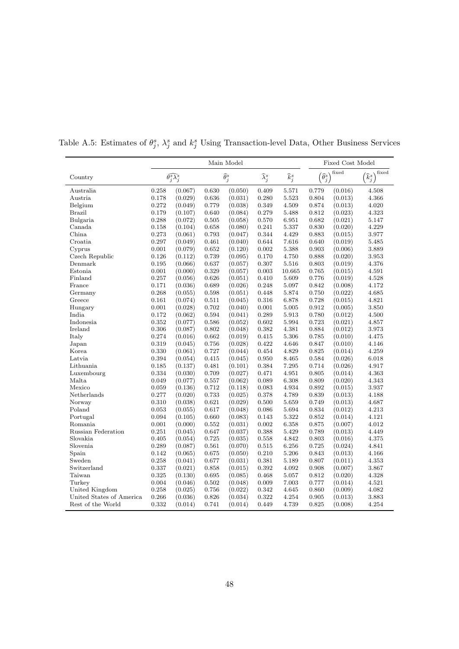|                           |       |                                   | Fixed Cost Model                                                               |         |       |                                 |       |                            |       |
|---------------------------|-------|-----------------------------------|--------------------------------------------------------------------------------|---------|-------|---------------------------------|-------|----------------------------|-------|
| Country                   |       | $\widehat{\theta_i^s\lambda_j^s}$ | $\widehat{k}_j^s$<br>$\widehat{\theta}_{j}^{s}$<br>$\widehat{\lambda}_{i}^{s}$ |         |       | fixed<br>$\widehat{\theta}_j^s$ |       | fixed<br>$\widehat{k}_j^s$ |       |
| Australia                 | 0.258 | (0.067)                           | 0.630                                                                          | (0.050) | 0.409 | 5.571                           | 0.779 | (0.016)                    | 4.508 |
| Austria                   | 0.178 | (0.029)                           | 0.636                                                                          | (0.031) | 0.280 | 5.523                           | 0.804 | (0.013)                    | 4.366 |
| Belgium                   | 0.272 | (0.049)                           | 0.779                                                                          | (0.038) | 0.349 | 4.509                           | 0.874 | (0.013)                    | 4.020 |
| <b>Brazil</b>             | 0.179 | (0.107)                           | 0.640                                                                          | (0.084) | 0.279 | 5.488                           | 0.812 | (0.023)                    | 4.323 |
| Bulgaria                  | 0.288 | (0.072)                           | 0.505                                                                          | (0.058) | 0.570 | 6.951                           | 0.682 | (0.021)                    | 5.147 |
| Canada                    | 0.158 | (0.104)                           | 0.658                                                                          | (0.080) | 0.241 | 5.337                           | 0.830 | (0.020)                    | 4.229 |
| China                     | 0.273 | (0.061)                           | 0.793                                                                          | (0.047) | 0.344 | 4.429                           | 0.883 | (0.015)                    | 3.977 |
| Croatia                   | 0.297 | (0.049)                           | 0.461                                                                          | (0.040) | 0.644 | 7.616                           | 0.640 | (0.019)                    | 5.485 |
| Cyprus                    | 0.001 | (0.079)                           | 0.652                                                                          | (0.120) | 0.002 | 5.388                           | 0.903 | (0.006)                    | 3.889 |
| Czech Republic            | 0.126 | (0.112)                           | 0.739                                                                          | (0.095) | 0.170 | 4.750                           | 0.888 | (0.020)                    | 3.953 |
| Denmark                   | 0.195 | (0.066)                           | 0.637                                                                          | (0.057) | 0.307 | 5.516                           | 0.803 | (0.019)                    | 4.376 |
| Estonia                   | 0.001 | (0.000)                           | 0.329                                                                          | (0.057) | 0.003 | 10.665                          | 0.765 | (0.015)                    | 4.591 |
| Finland                   | 0.257 | (0.056)                           | 0.626                                                                          | (0.051) | 0.410 | 5.609                           | 0.776 | (0.019)                    | 4.528 |
| France                    | 0.171 | (0.036)                           | 0.689                                                                          | (0.026) | 0.248 | 5.097                           | 0.842 | (0.008)                    | 4.172 |
| Germany                   | 0.268 | (0.055)                           | 0.598                                                                          | (0.051) | 0.448 | 5.874                           | 0.750 | (0.022)                    | 4.685 |
| Greece                    | 0.161 | (0.074)                           | 0.511                                                                          | (0.045) | 0.316 | 6.878                           | 0.728 | (0.015)                    | 4.821 |
| Hungary                   | 0.001 | (0.028)                           | 0.702                                                                          | (0.040) | 0.001 | 5.005                           | 0.912 | (0.005)                    | 3.850 |
| India                     | 0.172 | (0.062)                           | 0.594                                                                          | (0.041) | 0.289 | 5.913                           | 0.780 | (0.012)                    | 4.500 |
| Indonesia                 | 0.352 | (0.077)                           | 0.586                                                                          | (0.052) | 0.602 | 5.994                           | 0.723 | (0.021)                    | 4.857 |
| Ireland                   | 0.306 | (0.087)                           | 0.802                                                                          | (0.048) | 0.382 | 4.381                           | 0.884 | (0.012)                    | 3.973 |
| Italy                     | 0.274 | (0.016)                           | 0.662                                                                          | (0.019) | 0.415 | 5.306                           | 0.785 | (0.010)                    | 4.475 |
| Japan                     | 0.319 | (0.045)                           | 0.756                                                                          | (0.028) | 0.422 | 4.646                           | 0.847 | (0.010)                    | 4.146 |
| Korea                     | 0.330 | (0.061)                           | 0.727                                                                          | (0.044) | 0.454 | 4.829                           | 0.825 | (0.014)                    | 4.259 |
| Latvia                    | 0.394 | (0.054)                           | 0.415                                                                          | (0.045) | 0.950 | 8.465                           | 0.584 | (0.026)                    | 6.018 |
| Lithuania                 | 0.185 | (0.137)                           | 0.481                                                                          | (0.101) | 0.384 | 7.295                           | 0.714 | (0.026)                    | 4.917 |
| Luxembourg                | 0.334 | (0.030)                           | 0.709                                                                          | (0.027) | 0.471 | 4.951                           | 0.805 | (0.014)                    | 4.363 |
| Malta                     | 0.049 | (0.077)                           | 0.557                                                                          | (0.062) | 0.089 | 6.308                           | 0.809 | (0.020)                    | 4.343 |
| Mexico                    | 0.059 | (0.136)                           | 0.712                                                                          | (0.118) | 0.083 | 4.934                           | 0.892 | (0.015)                    | 3.937 |
| Netherlands               | 0.277 | (0.020)                           | 0.733                                                                          | (0.025) | 0.378 | 4.789                           | 0.839 | (0.013)                    | 4.188 |
| Norway                    | 0.310 | (0.038)                           | 0.621                                                                          | (0.029) | 0.500 | 5.659                           | 0.749 | (0.013)                    | 4.687 |
| Poland                    | 0.053 | (0.055)                           | 0.617                                                                          | (0.048) | 0.086 | 5.694                           | 0.834 | (0.012)                    | 4.213 |
| Portugal                  | 0.094 | (0.105)                           | 0.660                                                                          | (0.083) | 0.143 | 5.322                           | 0.852 | (0.014)                    | 4.121 |
| Romania                   | 0.001 | (0.000)                           | 0.552                                                                          | (0.031) | 0.002 | 6.358                           | 0.875 | (0.007)                    | 4.012 |
| <b>Russian Federation</b> | 0.251 | (0.045)                           | 0.647                                                                          | (0.037) | 0.388 | 5.429                           | 0.789 | (0.013)                    | 4.449 |
| Slovakia                  | 0.405 | (0.054)                           | 0.725                                                                          | (0.035) | 0.558 | 4.842                           | 0.803 | (0.016)                    | 4.375 |
| Slovenia                  | 0.289 | (0.087)                           | 0.561                                                                          | (0.070) | 0.515 | 6.256                           | 0.725 | (0.024)                    | 4.841 |
| Spain                     | 0.142 | (0.065)                           | 0.675                                                                          | (0.050) | 0.210 | 5.206                           | 0.843 | (0.013)                    | 4.166 |
| Sweden                    | 0.258 | (0.041)                           | 0.677                                                                          | (0.031) | 0.381 | 5.189                           | 0.807 | (0.011)                    | 4.353 |
| Switzerland               | 0.337 | (0.021)                           | 0.858                                                                          | (0.015) | 0.392 | 4.092                           | 0.908 | (0.007)                    | 3.867 |
| Taiwan                    | 0.325 | (0.130)                           | 0.695                                                                          | (0.085) | 0.468 | 5.057                           | 0.812 | (0.020)                    | 4.328 |
| Turkey                    | 0.004 | (0.046)                           | 0.502                                                                          | (0.048) | 0.009 | 7.003                           | 0.777 | (0.014)                    | 4.521 |
| United Kingdom            | 0.258 | (0.025)                           | 0.756                                                                          | (0.022) | 0.342 | 4.645                           | 0.860 | (0.009)                    | 4.082 |
| United States of America  | 0.266 | (0.036)                           | 0.826                                                                          | (0.034) | 0.322 | 4.254                           | 0.905 | (0.013)                    | 3.883 |
| Rest of the World         | 0.332 | (0.014)                           | 0.741                                                                          | (0.014) | 0.449 | 4.739                           | 0.825 | (0.008)                    | 4.254 |

Table A.5: Estimates of  $\theta_j^s$ ,  $\lambda_j^s$  and  $k_j^s$  Using Transaction-level Data, Other Business Services